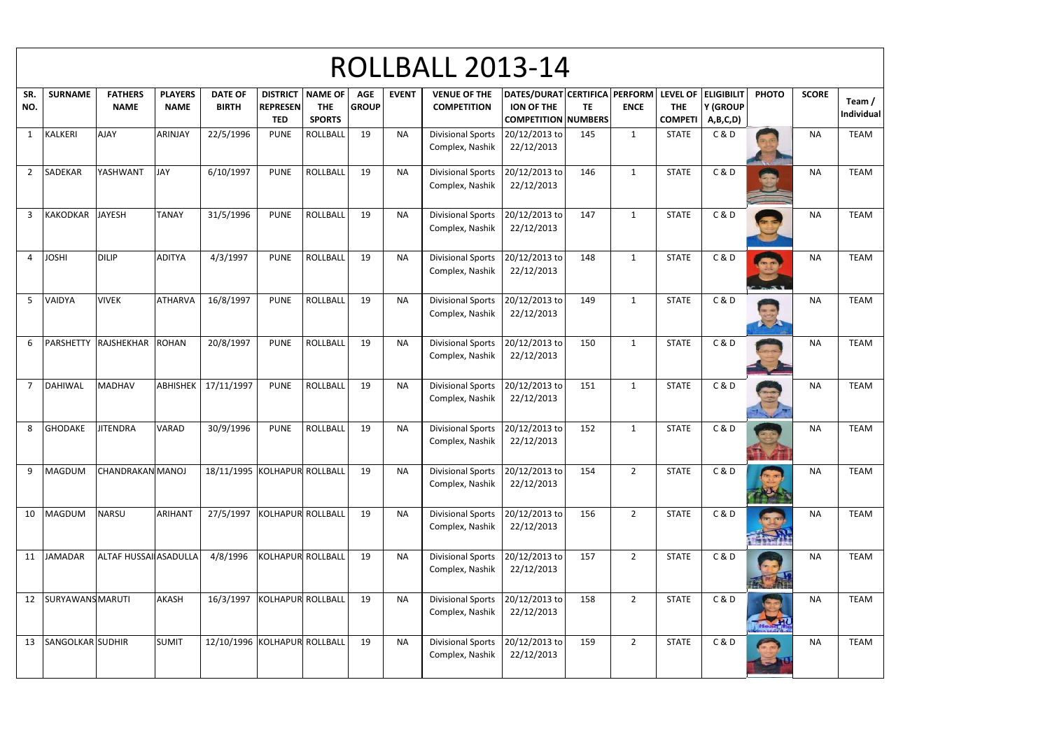| <b>PHOTO</b> | <b>SCORE</b> | Team /<br><b>Individual</b> |
|--------------|--------------|-----------------------------|
|              | <b>NA</b>    | <b>TEAM</b>                 |
|              | <b>NA</b>    | <b>TEAM</b>                 |
|              | <b>NA</b>    | <b>TEAM</b>                 |
|              | <b>NA</b>    | <b>TEAM</b>                 |
|              | <b>NA</b>    | <b>TEAM</b>                 |
|              | <b>NA</b>    | <b>TEAM</b>                 |
|              | <b>NA</b>    | <b>TEAM</b>                 |
|              | <b>NA</b>    | <b>TEAM</b>                 |
|              | <b>NA</b>    | <b>TEAM</b>                 |
|              | <b>NA</b>    | <b>TEAM</b>                 |
|              | <b>NA</b>    | <b>TEAM</b>                 |
|              | <b>NA</b>    | <b>TEAM</b>                 |
|              | <b>NA</b>    | <b>TEAM</b>                 |

| <b>ROLLBALL 2013-14</b> |                         |                               |                               |                                |                               |                                                          |                            |              |                                             |                                                                                  |           |                |                                                     |                     |              |              |                             |
|-------------------------|-------------------------|-------------------------------|-------------------------------|--------------------------------|-------------------------------|----------------------------------------------------------|----------------------------|--------------|---------------------------------------------|----------------------------------------------------------------------------------|-----------|----------------|-----------------------------------------------------|---------------------|--------------|--------------|-----------------------------|
| SR.<br>NO.              | <b>SURNAME</b>          | <b>FATHERS</b><br><b>NAME</b> | <b>PLAYERS</b><br><b>NAME</b> | <b>DATE OF</b><br><b>BIRTH</b> | <b>REPRESEN</b><br><b>TED</b> | <b>DISTRICT   NAME OF</b><br><b>THE</b><br><b>SPORTS</b> | <b>AGE</b><br><b>GROUP</b> | <b>EVENT</b> | <b>VENUE OF THE</b><br><b>COMPETITION</b>   | DATES/DURAT CERTIFICA PERFORM<br><b>ION OF THE</b><br><b>COMPETITION NUMBERS</b> | <b>TE</b> | <b>ENCE</b>    | LEVEL OF ELIGIBILIT<br><b>THE</b><br><b>COMPETI</b> | Y (GROUP<br>A,B,C,D | <b>PHOTO</b> | <b>SCORE</b> | Team /<br><b>Individual</b> |
| $\mathbf{1}$            | <b>KALKERI</b>          | <b>AJAY</b>                   | ARINJAY                       | 22/5/1996                      | <b>PUNE</b>                   | ROLLBALL                                                 | 19                         | <b>NA</b>    | <b>Divisional Sports</b><br>Complex, Nashik | 20/12/2013 to<br>22/12/2013                                                      | 145       | $\mathbf{1}$   | <b>STATE</b>                                        | C&D                 |              | <b>NA</b>    | <b>TEAM</b>                 |
| $\overline{2}$          | SADEKAR                 | YASHWANT                      | <b>JAY</b>                    | 6/10/1997                      | <b>PUNE</b>                   | <b>ROLLBALL</b>                                          | 19                         | <b>NA</b>    | <b>Divisional Sports</b><br>Complex, Nashik | 20/12/2013 to<br>22/12/2013                                                      | 146       | 1              | <b>STATE</b>                                        | C&D                 |              | <b>NA</b>    | <b>TEAM</b>                 |
| 3                       | <b>KAKODKAR</b>         | <b>JAYESH</b>                 | <b>TANAY</b>                  | 31/5/1996                      | <b>PUNE</b>                   | ROLLBALL                                                 | 19                         | <b>NA</b>    | <b>Divisional Sports</b><br>Complex, Nashik | 20/12/2013 to<br>22/12/2013                                                      | 147       | $\mathbf{1}$   | <b>STATE</b>                                        | C&D                 |              | <b>NA</b>    | <b>TEAM</b>                 |
| 4                       | <b>JOSHI</b>            | <b>DILIP</b>                  | <b>ADITYA</b>                 | 4/3/1997                       | <b>PUNE</b>                   | <b>ROLLBALL</b>                                          | 19                         | <b>NA</b>    | <b>Divisional Sports</b><br>Complex, Nashik | 20/12/2013 to<br>22/12/2013                                                      | 148       | $\mathbf{1}$   | <b>STATE</b>                                        | C&D                 |              | <b>NA</b>    | <b>TEAM</b>                 |
| $5\phantom{.}$          | VAIDYA                  | <b>VIVEK</b>                  | <b>ATHARVA</b>                | 16/8/1997                      | <b>PUNE</b>                   | <b>ROLLBALL</b>                                          | 19                         | <b>NA</b>    | <b>Divisional Sports</b><br>Complex, Nashik | 20/12/2013 to<br>22/12/2013                                                      | 149       | $\mathbf{1}$   | <b>STATE</b>                                        | C&D                 |              | <b>NA</b>    | <b>TEAM</b>                 |
| 6                       | PARSHETTY               | RAJSHEKHAR ROHAN              |                               | 20/8/1997                      | <b>PUNE</b>                   | ROLLBALL                                                 | 19                         | <b>NA</b>    | <b>Divisional Sports</b><br>Complex, Nashik | 20/12/2013 to<br>22/12/2013                                                      | 150       | $\mathbf{1}$   | <b>STATE</b>                                        | C&D                 |              | <b>NA</b>    | <b>TEAM</b>                 |
| $\overline{7}$          | <b>DAHIWAL</b>          | <b>MADHAV</b>                 | ABHISHEK                      | 17/11/1997                     | <b>PUNE</b>                   | <b>ROLLBALL</b>                                          | 19                         | <b>NA</b>    | <b>Divisional Sports</b><br>Complex, Nashik | 20/12/2013 to<br>22/12/2013                                                      | 151       | 1              | <b>STATE</b>                                        | C&D                 |              | <b>NA</b>    | <b>TEAM</b>                 |
| 8                       | <b>GHODAKE</b>          | <b>JITENDRA</b>               | <b>VARAD</b>                  | 30/9/1996                      | <b>PUNE</b>                   | ROLLBALL                                                 | 19                         | <b>NA</b>    | <b>Divisional Sports</b><br>Complex, Nashik | 20/12/2013 to<br>22/12/2013                                                      | 152       | $\mathbf{1}$   | <b>STATE</b>                                        | C&D                 | <b>Shari</b> | <b>NA</b>    | <b>TEAM</b>                 |
| 9                       | MAGDUM                  | <b>CHANDRAKAN MANOJ</b>       |                               | 18/11/1995 KOLHAPUR ROLLBALL   |                               |                                                          | 19                         | <b>NA</b>    | <b>Divisional Sports</b><br>Complex, Nashik | 20/12/2013 to<br>22/12/2013                                                      | 154       | $\overline{2}$ | <b>STATE</b>                                        | C&D                 |              | <b>NA</b>    | <b>TEAM</b>                 |
| 10                      | MAGDUM                  | <b>NARSU</b>                  | <b>ARIHANT</b>                | 27/5/1997                      | KOLHAPUR ROLLBALL             |                                                          | 19                         | <b>NA</b>    | <b>Divisional Sports</b><br>Complex, Nashik | 20/12/2013 to<br>22/12/2013                                                      | 156       | $\overline{2}$ | <b>STATE</b>                                        | C&D                 |              | <b>NA</b>    | <b>TEAM</b>                 |
| 11                      | <b>JAMADAR</b>          | <b>ALTAF HUSSAI ASADULLA</b>  |                               | 4/8/1996                       | <b>KOLHAPUR ROLLBALL</b>      |                                                          | 19                         | <b>NA</b>    | <b>Divisional Sports</b><br>Complex, Nashik | 20/12/2013 to<br>22/12/2013                                                      | 157       | $\overline{2}$ | <b>STATE</b>                                        | C&D                 |              | <b>NA</b>    | <b>TEAM</b>                 |
| 12                      | <b>SURYAWANS MARUTI</b> |                               | <b>AKASH</b>                  | 16/3/1997                      | KOLHAPUR ROLLBALL             |                                                          | 19                         | <b>NA</b>    | <b>Divisional Sports</b><br>Complex, Nashik | 20/12/2013 to<br>22/12/2013                                                      | 158       | $\overline{2}$ | <b>STATE</b>                                        | C&D                 |              | <b>NA</b>    | <b>TEAM</b>                 |
| 13                      | SANGOLKAR SUDHIR        |                               | <b>SUMIT</b>                  | 12/10/1996 KOLHAPUR ROLLBALL   |                               |                                                          | 19                         | <b>NA</b>    | <b>Divisional Sports</b><br>Complex, Nashik | 20/12/2013 to<br>22/12/2013                                                      | 159       | $\overline{2}$ | <b>STATE</b>                                        | C&D                 |              | <b>NA</b>    | <b>TEAM</b>                 |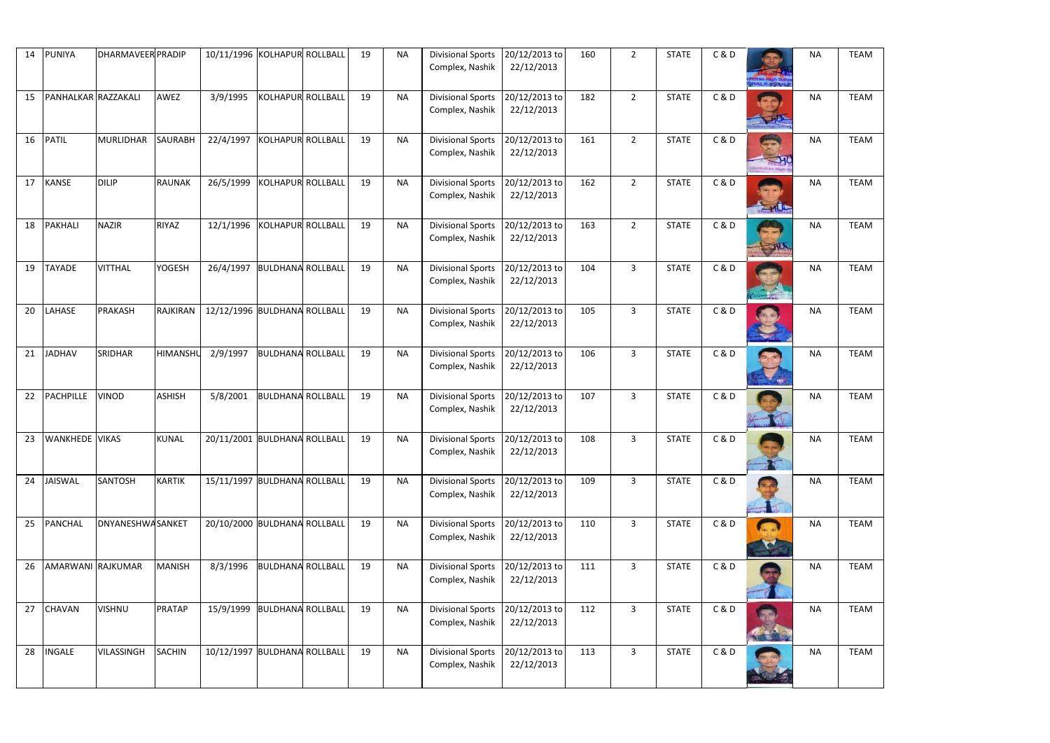| 14 | <b>PUNIYA</b>       | <b>DHARMAVEER PRADIP</b> |                 | 10/11/1996 KOLHAPUR ROLLBALL |                          | 19 | <b>NA</b> | <b>Divisional Sports</b>                           | 20/12/2013 to               | 160 | $2^{\circ}$    | <b>STATE</b> | C&D   |                           | <b>NA</b> | <b>TEAM</b> |
|----|---------------------|--------------------------|-----------------|------------------------------|--------------------------|----|-----------|----------------------------------------------------|-----------------------------|-----|----------------|--------------|-------|---------------------------|-----------|-------------|
|    |                     |                          |                 |                              |                          |    |           | Complex, Nashik                                    | 22/12/2013                  |     |                |              |       |                           |           |             |
| 15 | PANHALKAR RAZZAKALI |                          | AWEZ            | 3/9/1995                     | <b>KOLHAPUR ROLLBALL</b> | 19 | <b>NA</b> | <b>Divisional Sports</b><br>Complex, Nashik        | 20/12/2013 to<br>22/12/2013 | 182 | $\overline{2}$ | <b>STATE</b> | C&D   |                           | <b>NA</b> | <b>TEAM</b> |
| 16 | <b>PATIL</b>        | <b>MURLIDHAR</b>         | <b>SAURABH</b>  | 22/4/1997                    | KOLHAPUR ROLLBALL        | 19 | <b>NA</b> | <b>Divisional Sports</b><br>Complex, Nashik        | 20/12/2013 to<br>22/12/2013 | 161 | $2^{\circ}$    | <b>STATE</b> | C&D   | $\rightarrow$<br>rao High | <b>NA</b> | <b>TEAM</b> |
| 17 | <b>KANSE</b>        | <b>DILIP</b>             | <b>RAUNAK</b>   | 26/5/1999                    | KOLHAPUR ROLLBALL        | 19 | <b>NA</b> | <b>Divisional Sports</b><br>Complex, Nashik        | 20/12/2013 to<br>22/12/2013 | 162 | $\overline{2}$ | <b>STATE</b> | C&D   | $-10-$                    | <b>NA</b> | <b>TEAM</b> |
| 18 | PAKHALI             | <b>NAZIR</b>             | <b>RIYAZ</b>    | 12/1/1996                    | KOLHAPUR ROLLBALL        | 19 | <b>NA</b> | <b>Divisional Sports</b><br>Complex, Nashik        | 20/12/2013 to<br>22/12/2013 | 163 | $2^{\circ}$    | <b>STATE</b> | C & D |                           | <b>NA</b> | <b>TEAM</b> |
| 19 | <b>TAYADE</b>       | <b>VITTHAL</b>           | <b>YOGESH</b>   | 26/4/1997                    | <b>BULDHANA ROLLBALL</b> | 19 | <b>NA</b> | <b>Divisional Sports</b><br>Complex, Nashik        | 20/12/2013 to<br>22/12/2013 | 104 | $\overline{3}$ | <b>STATE</b> | C&D   |                           | <b>NA</b> | <b>TEAM</b> |
| 20 | LAHASE              | PRAKASH                  | <b>RAJKIRAN</b> | 12/12/1996 BULDHANA ROLLBALL |                          | 19 | <b>NA</b> | <b>Divisional Sports</b><br>Complex, Nashik        | 20/12/2013 to<br>22/12/2013 | 105 | $\overline{3}$ | <b>STATE</b> | C & D |                           | <b>NA</b> | <b>TEAM</b> |
| 21 | <b>JADHAV</b>       | SRIDHAR                  | <b>HIMANSHL</b> | 2/9/1997                     | <b>BULDHANA ROLLBALL</b> | 19 | <b>NA</b> | <b>Divisional Sports</b><br>Complex, Nashik        | 20/12/2013 to<br>22/12/2013 | 106 | $\overline{3}$ | <b>STATE</b> | C & D |                           | <b>NA</b> | <b>TEAM</b> |
| 22 | <b>PACHPILLE</b>    | <b>VINOD</b>             | <b>ASHISH</b>   | 5/8/2001                     | <b>BULDHANA ROLLBALL</b> | 19 | <b>NA</b> | <b>Divisional Sports</b><br>Complex, Nashik        | 20/12/2013 to<br>22/12/2013 | 107 | $\mathbf{3}$   | <b>STATE</b> | C & D |                           | <b>NA</b> | <b>TEAM</b> |
|    | 23 WANKHEDE VIKAS   |                          | <b>KUNAL</b>    | 20/11/2001 BULDHANA ROLLBALL |                          | 19 | <b>NA</b> | Divisional Sports 20/12/2013 to<br>Complex, Nashik | 22/12/2013                  | 108 | $\overline{3}$ | <b>STATE</b> | C & D |                           | <b>NA</b> | <b>TEAM</b> |
| 24 | <b>JAISWAL</b>      | <b>SANTOSH</b>           | <b>KARTIK</b>   | 15/11/1997 BULDHANA ROLLBALL |                          | 19 | <b>NA</b> | <b>Divisional Sports</b><br>Complex, Nashik        | 20/12/2013 to<br>22/12/2013 | 109 | $\mathbf{3}$   | <b>STATE</b> | C&D   |                           | <b>NA</b> | <b>TEAM</b> |
| 25 | <b>PANCHAL</b>      | <b>DNYANESHWASANKET</b>  |                 | 20/10/2000 BULDHANA ROLLBALL |                          | 19 | <b>NA</b> | <b>Divisional Sports</b><br>Complex, Nashik        | 20/12/2013 to<br>22/12/2013 | 110 | $\overline{3}$ | <b>STATE</b> | C&D   | <b>CON</b>                | <b>NA</b> | <b>TEAM</b> |
| 26 | AMARWANI RAJKUMAR   |                          | <b>MANISH</b>   | 8/3/1996                     | <b>BULDHANA ROLLBALL</b> | 19 | <b>NA</b> | <b>Divisional Sports</b><br>Complex, Nashik        | 20/12/2013 to<br>22/12/2013 | 111 | $\overline{3}$ | <b>STATE</b> | C&D   |                           | <b>NA</b> | <b>TEAM</b> |
| 27 | <b>CHAVAN</b>       | <b>VISHNU</b>            | <b>PRATAP</b>   | 15/9/1999                    | <b>BULDHANA ROLLBALL</b> | 19 | <b>NA</b> | <b>Divisional Sports</b><br>Complex, Nashik        | 20/12/2013 to<br>22/12/2013 | 112 | $\overline{3}$ | <b>STATE</b> | C&D   |                           | <b>NA</b> | <b>TEAM</b> |
| 28 | <b>INGALE</b>       | VILASSINGH               | <b>SACHIN</b>   | 10/12/1997 BULDHANA ROLLBALL |                          | 19 | <b>NA</b> | <b>Divisional Sports</b><br>Complex, Nashik        | 20/12/2013 to<br>22/12/2013 | 113 | $\mathbf{3}$   | <b>STATE</b> | C & D |                           | <b>NA</b> | <b>TEAM</b> |

| <b>NA</b> | <b>TEAM</b> |
|-----------|-------------|
| <b>NA</b> | <b>TEAM</b> |
| <b>NA</b> | <b>TEAM</b> |
| <b>NA</b> | <b>TEAM</b> |
| <b>NA</b> | <b>TEAM</b> |
| <b>NA</b> | <b>TEAM</b> |
| <b>NA</b> | <b>TEAM</b> |
| <b>NA</b> | <b>TEAM</b> |
| <b>NA</b> | <b>TEAM</b> |
| <b>NA</b> | <b>TEAM</b> |
| <b>NA</b> | <b>TEAM</b> |
| NΑ        | <b>TEAM</b> |
| <b>NA</b> | <b>TEAM</b> |
| <b>NA</b> | <b>TEAM</b> |
| ΝA        | <b>TEAM</b> |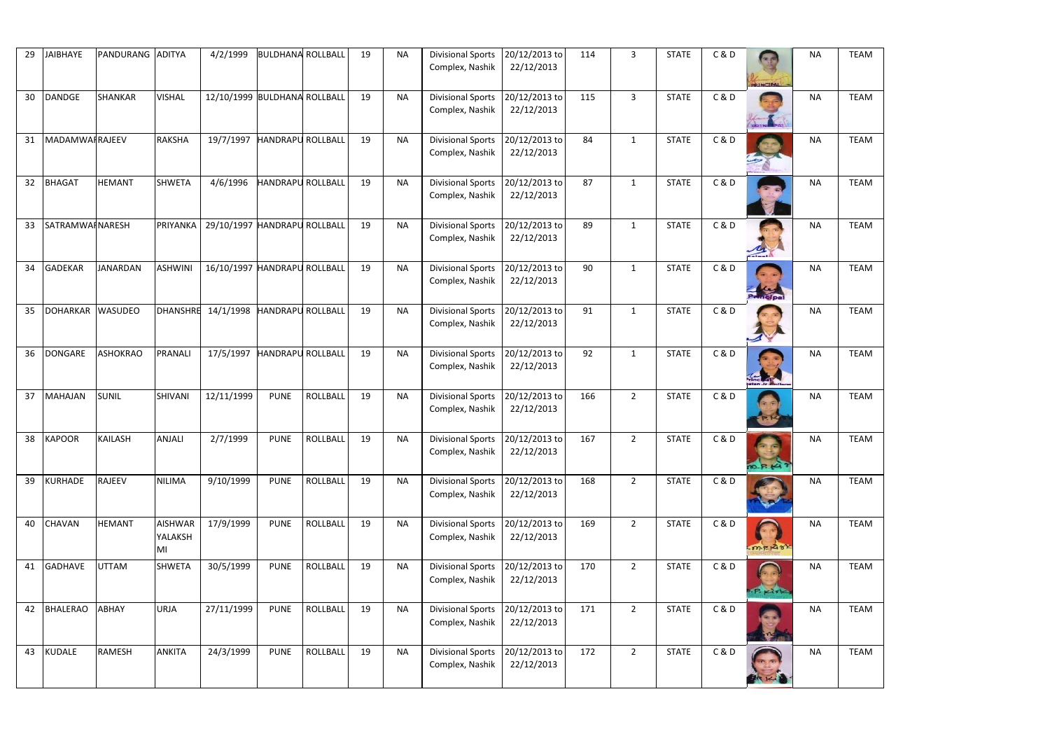| 29 | <b>JAIBHAYE</b> | PANDURANG ADITYA |                                 | 4/2/1999                     | <b>BULDHANA ROLLBALL</b> |                 | 19 | <b>NA</b> | <b>Divisional Sports</b><br>Complex, Nashik        | 20/12/2013 to<br>22/12/2013 | 114 | $\overline{3}$ | <b>STATE</b> | C & D |                     | <b>NA</b> | <b>TEAM</b> |
|----|-----------------|------------------|---------------------------------|------------------------------|--------------------------|-----------------|----|-----------|----------------------------------------------------|-----------------------------|-----|----------------|--------------|-------|---------------------|-----------|-------------|
|    |                 |                  |                                 |                              |                          |                 |    |           |                                                    |                             |     |                |              |       | PRIMCIPAL           |           |             |
| 30 | <b>DANDGE</b>   | <b>SHANKAR</b>   | <b>VISHAL</b>                   | 12/10/1999 BULDHANA ROLLBALL |                          |                 | 19 | <b>NA</b> | <b>Divisional Sports</b><br>Complex, Nashik        | 20/12/2013 to<br>22/12/2013 | 115 | $\overline{3}$ | <b>STATE</b> | C&D   |                     | <b>NA</b> | <b>TEAM</b> |
| 31 | MADAMWAIRAJEEV  |                  | <b>RAKSHA</b>                   | 19/7/1997                    | <b>HANDRAPU ROLLBALL</b> |                 | 19 | <b>NA</b> | <b>Divisional Sports</b><br>Complex, Nashik        | 20/12/2013 to<br>22/12/2013 | 84  | $\mathbf{1}$   | <b>STATE</b> | C&D   |                     | <b>NA</b> | <b>TEAM</b> |
| 32 | <b>BHAGAT</b>   | <b>HEMANT</b>    | <b>SHWETA</b>                   | 4/6/1996                     | <b>HANDRAPU ROLLBALL</b> |                 | 19 | <b>NA</b> | <b>Divisional Sports</b><br>Complex, Nashik        | 20/12/2013 to<br>22/12/2013 | 87  | $\mathbf{1}$   | <b>STATE</b> | C & D |                     | <b>NA</b> | <b>TEAM</b> |
| 33 | SATRAMWAINARESH |                  | PRIYANKA                        | 29/10/1997 HANDRAPU ROLLBALL |                          |                 | 19 | <b>NA</b> | <b>Divisional Sports</b><br>Complex, Nashik        | 20/12/2013 to<br>22/12/2013 | 89  | $\mathbf{1}$   | <b>STATE</b> | C & D | <b>The Colombia</b> | <b>NA</b> | <b>TEAM</b> |
| 34 | <b>GADEKAR</b>  | <b>JANARDAN</b>  | <b>ASHWINI</b>                  | 16/10/1997 HANDRAPU ROLLBALL |                          |                 | 19 | <b>NA</b> | <b>Divisional Sports</b><br>Complex, Nashik        | 20/12/2013 to<br>22/12/2013 | 90  | $\mathbf{1}$   | <b>STATE</b> | C & D | $\frac{1}{\ln 2}$   | <b>NA</b> | <b>TEAM</b> |
| 35 | <b>DOHARKAR</b> | <b>WASUDEO</b>   | <b>DHANSHRE</b>                 | 14/1/1998                    | <b>HANDRAPU ROLLBALL</b> |                 | 19 | <b>NA</b> | <b>Divisional Sports</b><br>Complex, Nashik        | 20/12/2013 to<br>22/12/2013 | 91  | $\mathbf{1}$   | <b>STATE</b> | C&D   |                     | <b>NA</b> | <b>TEAM</b> |
| 36 | <b>DONGARE</b>  | <b>ASHOKRAO</b>  | <b>PRANALI</b>                  | 17/5/1997                    | <b>HANDRAPU ROLLBALL</b> |                 | 19 | <b>NA</b> | <b>Divisional Sports</b><br>Complex, Nashik        | 20/12/2013 to<br>22/12/2013 | 92  | $\mathbf{1}$   | <b>STATE</b> | C & D |                     | <b>NA</b> | <b>TEAM</b> |
| 37 | MAHAJAN         | <b>SUNIL</b>     | <b>SHIVANI</b>                  | 12/11/1999                   | <b>PUNE</b>              | ROLLBALL        | 19 | <b>NA</b> | <b>Divisional Sports</b><br>Complex, Nashik        | 20/12/2013 to<br>22/12/2013 | 166 | $\overline{2}$ | <b>STATE</b> | C & D |                     | <b>NA</b> | <b>TEAM</b> |
| 38 | <b>KAPOOR</b>   | <b>KAILASH</b>   | <b>ANJALI</b>                   | 2/7/1999                     | <b>PUNE</b>              | ROLLBALL        | 19 | <b>NA</b> | Divisional Sports 20/12/2013 to<br>Complex, Nashik | 22/12/2013                  | 167 | $\overline{2}$ | <b>STATE</b> | C & D | $R_{14}$            | <b>NA</b> | <b>TEAM</b> |
| 39 | KURHADE         | <b>RAJEEV</b>    | <b>NILIMA</b>                   | 9/10/1999                    | <b>PUNE</b>              | <b>ROLLBALL</b> | 19 | <b>NA</b> | <b>Divisional Sports</b><br>Complex, Nashik        | 20/12/2013 to<br>22/12/2013 | 168 | $2^{\circ}$    | <b>STATE</b> | C & D |                     | <b>NA</b> | <b>TEAM</b> |
| 40 | <b>CHAVAN</b>   | <b>HEMANT</b>    | <b>AISHWAR</b><br>YALAKSH<br>MI | 17/9/1999                    | <b>PUNE</b>              | <b>ROLLBALL</b> | 19 | <b>NA</b> | <b>Divisional Sports</b><br>Complex, Nashik        | 20/12/2013 to<br>22/12/2013 | 169 | $\overline{2}$ | <b>STATE</b> | C & D | $-mF + 288$         | <b>NA</b> | <b>TEAM</b> |
| 41 | <b>GADHAVE</b>  | <b>UTTAM</b>     | <b>SHWETA</b>                   | 30/5/1999                    | <b>PUNE</b>              | <b>ROLLBALL</b> | 19 | <b>NA</b> | <b>Divisional Sports</b><br>Complex, Nashik        | 20/12/2013 to<br>22/12/2013 | 170 | $2^{\circ}$    | <b>STATE</b> | C & D | P. Kirk             | <b>NA</b> | <b>TEAM</b> |
| 42 | <b>BHALERAO</b> | ABHAY            | <b>URJA</b>                     | 27/11/1999                   | <b>PUNE</b>              | <b>ROLLBALL</b> | 19 | <b>NA</b> | <b>Divisional Sports</b><br>Complex, Nashik        | 20/12/2013 to<br>22/12/2013 | 171 | $\overline{2}$ | <b>STATE</b> | C & D |                     | <b>NA</b> | <b>TEAM</b> |
| 43 | <b>KUDALE</b>   | RAMESH           | <b>ANKITA</b>                   | 24/3/1999                    | <b>PUNE</b>              | ROLLBALL        | 19 | <b>NA</b> | <b>Divisional Sports</b><br>Complex, Nashik        | 20/12/2013 to<br>22/12/2013 | 172 | $\overline{2}$ | <b>STATE</b> | C&D   |                     | <b>NA</b> | <b>TEAM</b> |

| <b>NA</b> | <b>TEAM</b> |
|-----------|-------------|
| <b>NA</b> | <b>TEAM</b> |
| <b>NA</b> | <b>TEAM</b> |
| <b>NA</b> | <b>TEAM</b> |
| <b>NA</b> | <b>TEAM</b> |
| <b>NA</b> | <b>TEAM</b> |
| <b>NA</b> | <b>TEAM</b> |
| <b>NA</b> | <b>TEAM</b> |
| <b>NA</b> | <b>TEAM</b> |
| <b>NA</b> | <b>TEAM</b> |
| <b>NA</b> | <b>TEAM</b> |
| NΑ        | <b>TEAM</b> |
| <b>NA</b> | <b>TEAM</b> |
| <b>NA</b> | <b>TEAM</b> |
| ΝA        | <b>TEAM</b> |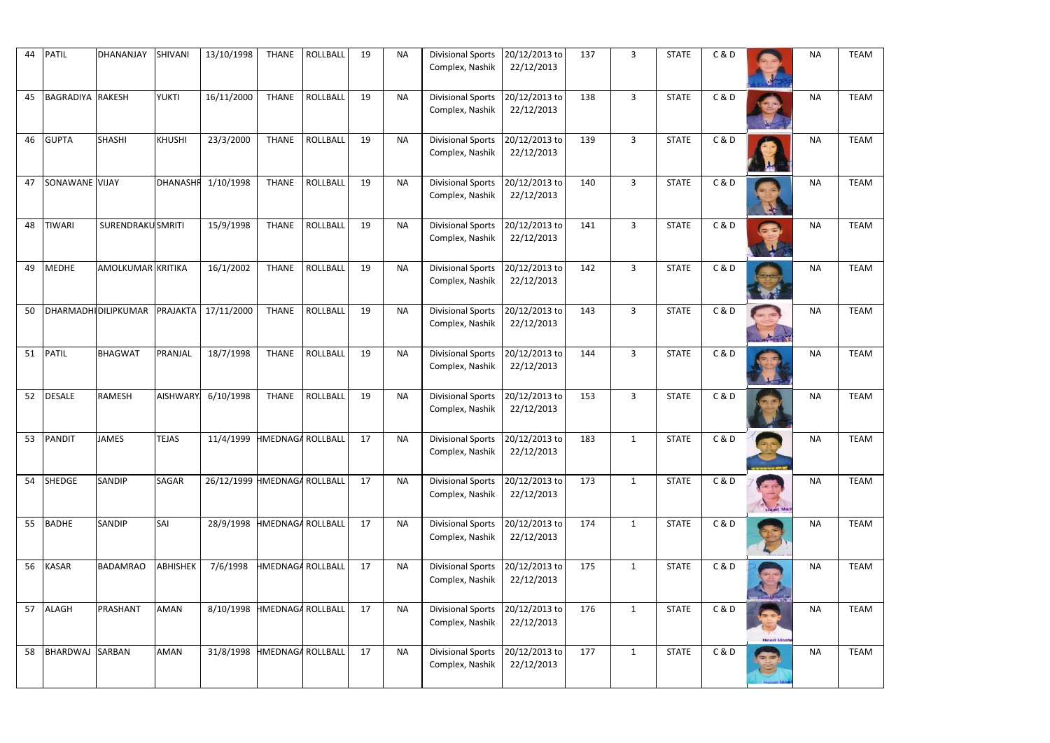| 44 | <b>PATIL</b>            | DHANANJAY                | <b>SHIVANI</b>  | 13/10/1998                   | <b>THANE</b>             | <b>ROLLBALL</b> | 19 | <b>NA</b> | <b>Divisional Sports</b><br>Complex, Nashik        | 20/12/2013 to<br>22/12/2013 | 137 | $\overline{3}$ | <b>STATE</b> | C&D |                  | <b>NA</b> | <b>TEAM</b> |
|----|-------------------------|--------------------------|-----------------|------------------------------|--------------------------|-----------------|----|-----------|----------------------------------------------------|-----------------------------|-----|----------------|--------------|-----|------------------|-----------|-------------|
| 45 | <b>BAGRADIYA RAKESH</b> |                          | <b>YUKTI</b>    | 16/11/2000                   | <b>THANE</b>             | <b>ROLLBALL</b> | 19 | <b>NA</b> | <b>Divisional Sports</b><br>Complex, Nashik        | 20/12/2013 to<br>22/12/2013 | 138 | $\mathbf{3}$   | <b>STATE</b> | C&D |                  | <b>NA</b> | <b>TEAM</b> |
| 46 | <b>GUPTA</b>            | <b>SHASHI</b>            | <b>KHUSHI</b>   | 23/3/2000                    | <b>THANE</b>             | <b>ROLLBALL</b> | 19 | <b>NA</b> | <b>Divisional Sports</b><br>Complex, Nashik        | 20/12/2013 to<br>22/12/2013 | 139 | $\mathbf{3}$   | <b>STATE</b> | C&D |                  | <b>NA</b> | <b>TEAM</b> |
| 47 | SONAWANE VIJAY          |                          | <b>DHANASHI</b> | 1/10/1998                    | <b>THANE</b>             | <b>ROLLBALL</b> | 19 | <b>NA</b> | <b>Divisional Sports</b><br>Complex, Nashik        | 20/12/2013 to<br>22/12/2013 | 140 | $\overline{3}$ | <b>STATE</b> | C&D |                  | <b>NA</b> | <b>TEAM</b> |
| 48 | <b>TIWARI</b>           | <b>SURENDRAKU SMRITI</b> |                 | 15/9/1998                    | <b>THANE</b>             | <b>ROLLBALL</b> | 19 | <b>NA</b> | <b>Divisional Sports</b><br>Complex, Nashik        | 20/12/2013 to<br>22/12/2013 | 141 | $\overline{3}$ | <b>STATE</b> | C&D |                  | <b>NA</b> | <b>TEAM</b> |
| 49 | MEDHE                   | AMOLKUMAR KRITIKA        |                 | 16/1/2002                    | <b>THANE</b>             | <b>ROLLBALL</b> | 19 | <b>NA</b> | <b>Divisional Sports</b><br>Complex, Nashik        | 20/12/2013 to<br>22/12/2013 | 142 | $\mathbf{3}$   | <b>STATE</b> | C&D |                  | <b>NA</b> | <b>TEAM</b> |
| 50 |                         | DHARMADHI DILIPKUMAR     | <b>PRAJAKTA</b> | 17/11/2000                   | <b>THANE</b>             | <b>ROLLBALL</b> | 19 | <b>NA</b> | <b>Divisional Sports</b><br>Complex, Nashik        | 20/12/2013 to<br>22/12/2013 | 143 | $\mathbf{3}$   | <b>STATE</b> | C&D |                  | <b>NA</b> | <b>TEAM</b> |
| 51 | <b>PATIL</b>            | <b>BHAGWAT</b>           | PRANJAL         | 18/7/1998                    | <b>THANE</b>             | <b>ROLLBALL</b> | 19 | <b>NA</b> | <b>Divisional Sports</b><br>Complex, Nashik        | 20/12/2013 to<br>22/12/2013 | 144 | $\mathbf{3}$   | <b>STATE</b> | C&D |                  | <b>NA</b> | <b>TEAM</b> |
| 52 | <b>DESALE</b>           | <b>RAMESH</b>            | <b>AISHWARY</b> | 6/10/1998                    | <b>THANE</b>             | <b>ROLLBALL</b> | 19 | <b>NA</b> | <b>Divisional Sports</b><br>Complex, Nashik        | 20/12/2013 to<br>22/12/2013 | 153 | $\mathbf{3}$   | <b>STATE</b> | C&D |                  | <b>NA</b> | <b>TEAM</b> |
| 53 | PANDIT                  | <b>JAMES</b>             | <b>TEJAS</b>    | 11/4/1999 HMEDNAGA ROLLBALL  |                          |                 | 17 | <b>NA</b> | Divisional Sports 20/12/2013 to<br>Complex, Nashik | 22/12/2013                  | 183 |                | <b>STATE</b> | C&D |                  | <b>NA</b> | <b>TEAM</b> |
| 54 | SHEDGE                  | <b>SANDIP</b>            | SAGAR           | 26/12/1999 HMEDNAGA ROLLBALL |                          |                 | 17 | <b>NA</b> | <b>Divisional Sports</b><br>Complex, Nashik        | 20/12/2013 to<br>22/12/2013 | 173 | $\mathbf{1}$   | <b>STATE</b> | C&D | Head Mas         | <b>NA</b> | <b>TEAM</b> |
| 55 | <b>BADHE</b>            | <b>SANDIP</b>            | SAI             | 28/9/1998                    | <b>HMEDNAGA ROLLBALL</b> |                 | 17 | <b>NA</b> | <b>Divisional Sports</b><br>Complex, Nashik        | 20/12/2013 to<br>22/12/2013 | 174 | $\mathbf{1}$   | <b>STATE</b> | C&D |                  | <b>NA</b> | <b>TEAM</b> |
| 56 | <b>KASAR</b>            | <b>BADAMRAO</b>          | <b>ABHISHEK</b> | 7/6/1998                     | <b>HMEDNAGA ROLLBALL</b> |                 | 17 | <b>NA</b> | <b>Divisional Sports</b><br>Complex, Nashik        | 20/12/2013 to<br>22/12/2013 | 175 | $\mathbf{1}$   | <b>STATE</b> | C&D |                  | <b>NA</b> | <b>TEAM</b> |
| 57 | <b>ALAGH</b>            | PRASHANT                 | AMAN            | 8/10/1998                    | <b>HMEDNAGA ROLLBALL</b> |                 | 17 | <b>NA</b> | <b>Divisional Sports</b><br>Complex, Nashik        | 20/12/2013 to<br>22/12/2013 | 176 | $\mathbf{1}$   | <b>STATE</b> | C&D | <b>Head Mast</b> | <b>NA</b> | <b>TEAM</b> |
| 58 | BHARDWAJ SARBAN         |                          | AMAN            | 31/8/1998 HMEDNAGA ROLLBALL  |                          |                 | 17 | <b>NA</b> | <b>Divisional Sports</b><br>Complex, Nashik        | 20/12/2013 to<br>22/12/2013 | 177 | $\mathbf{1}$   | <b>STATE</b> | C&D |                  | <b>NA</b> | <b>TEAM</b> |

| <b>NA</b> | <b>TEAM</b> |
|-----------|-------------|
| <b>NA</b> | <b>TEAM</b> |
| <b>NA</b> | <b>TEAM</b> |
| <b>NA</b> | <b>TEAM</b> |
| <b>NA</b> | <b>TEAM</b> |
| <b>NA</b> | <b>TEAM</b> |
| <b>NA</b> | <b>TEAM</b> |
| <b>NA</b> | <b>TEAM</b> |
| <b>NA</b> | <b>TEAM</b> |
| <b>NA</b> | <b>TEAM</b> |
| <b>NA</b> | <b>TEAM</b> |
| NΑ        | <b>TEAM</b> |
| <b>NA</b> | <b>TEAM</b> |
| <b>NA</b> | <b>TEAM</b> |
| ΝA        | <b>TEAM</b> |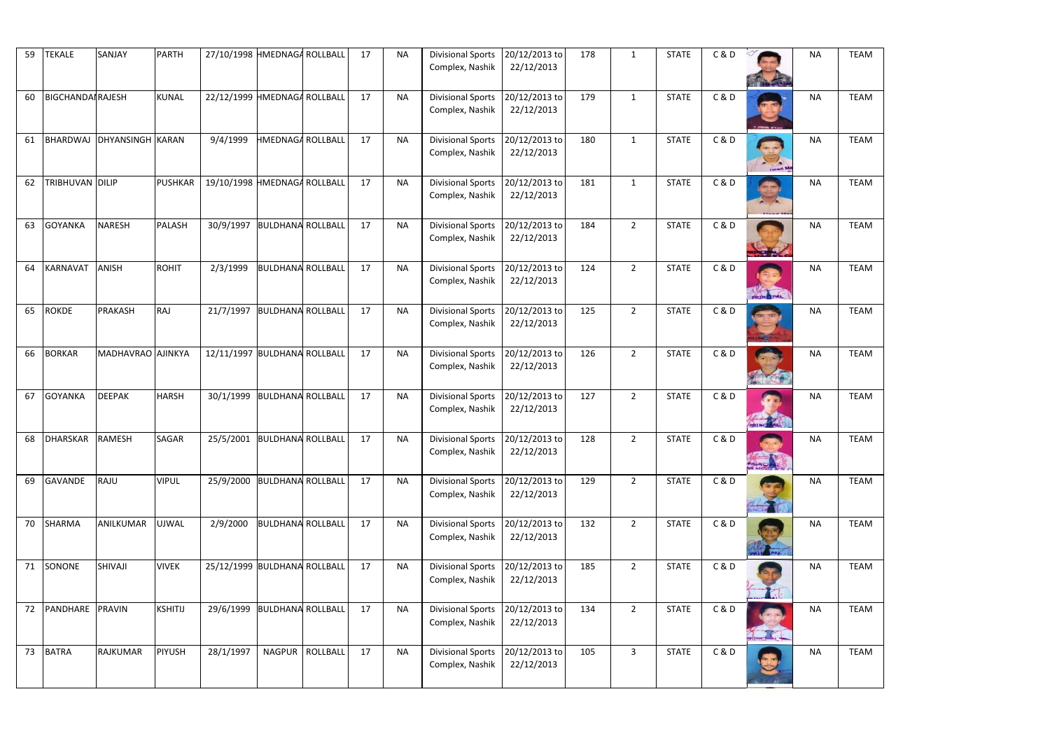| 59 | <b>TEKALE</b>           | SANJAY                    | <b>PARTH</b>   | 27/10/1998 HMEDNAGA ROLLBALL |                          |                   | 17 | <b>NA</b> | <b>Divisional Sports</b><br>Complex, Nashik        | 20/12/2013 to<br>22/12/2013 | 178 | $\mathbf{1}$   | <b>STATE</b> | C&D   |                  | <b>NA</b> | <b>TEAM</b> |
|----|-------------------------|---------------------------|----------------|------------------------------|--------------------------|-------------------|----|-----------|----------------------------------------------------|-----------------------------|-----|----------------|--------------|-------|------------------|-----------|-------------|
| 60 | <b>BIGCHANDAIRAJESH</b> |                           | <b>KUNAL</b>   | 22/12/1999 HMEDNAGA ROLLBALL |                          |                   | 17 | <b>NA</b> | <b>Divisional Sports</b><br>Complex, Nashik        | 20/12/2013 to<br>22/12/2013 | 179 | $\mathbf{1}$   | <b>STATE</b> | C&D   | <b>STORY AND</b> | <b>NA</b> | <b>TEAM</b> |
| 61 |                         | BHARDWAJ DHYANSINGH KARAN |                | 9/4/1999                     | <b>HMEDNAGA ROLLBALL</b> |                   | 17 | <b>NA</b> | <b>Divisional Sports</b><br>Complex, Nashik        | 20/12/2013 to<br>22/12/2013 | 180 | $\mathbf{1}$   | <b>STATE</b> | C & D | <b>Head Ma</b>   | <b>NA</b> | <b>TEAM</b> |
| 62 | TRIBHUVAN DILIP         |                           | <b>PUSHKAR</b> | 19/10/1998 HMEDNAGA ROLLBALL |                          |                   | 17 | <b>NA</b> | <b>Divisional Sports</b><br>Complex, Nashik        | 20/12/2013 to<br>22/12/2013 | 181 | $\mathbf{1}$   | <b>STATE</b> | C&D   |                  | <b>NA</b> | <b>TEAM</b> |
| 63 | <b>GOYANKA</b>          | <b>NARESH</b>             | PALASH         | 30/9/1997                    | <b>BULDHANA ROLLBALL</b> |                   | 17 | <b>NA</b> | <b>Divisional Sports</b><br>Complex, Nashik        | 20/12/2013 to<br>22/12/2013 | 184 | $\overline{2}$ | <b>STATE</b> | C&D   |                  | <b>NA</b> | <b>TEAM</b> |
| 64 | KARNAVAT                | <b>ANISH</b>              | <b>ROHIT</b>   | 2/3/1999                     | <b>BULDHANA ROLLBALL</b> |                   | 17 | <b>NA</b> | <b>Divisional Sports</b><br>Complex, Nashik        | 20/12/2013 to<br>22/12/2013 | 124 | $2^{\circ}$    | <b>STATE</b> | C&D   | PRINCIPAL        | <b>NA</b> | <b>TEAM</b> |
| 65 | ROKDE                   | PRAKASH                   | RAJ            | 21/7/1997                    | <b>BULDHANA ROLLBALL</b> |                   | 17 | <b>NA</b> | <b>Divisional Sports</b><br>Complex, Nashik        | 20/12/2013 to<br>22/12/2013 | 125 | $2^{\circ}$    | <b>STATE</b> | C&D   |                  | <b>NA</b> | <b>TEAM</b> |
| 66 | <b>BORKAR</b>           | MADHAVRAO AJINKYA         |                | 12/11/1997 BULDHANA ROLLBALL |                          |                   | 17 | <b>NA</b> | <b>Divisional Sports</b><br>Complex, Nashik        | 20/12/2013 to<br>22/12/2013 | 126 | $\overline{2}$ | <b>STATE</b> | C & D |                  | <b>NA</b> | <b>TEAM</b> |
| 67 | <b>GOYANKA</b>          | <b>DEEPAK</b>             | <b>HARSH</b>   | 30/1/1999                    | <b>BULDHANA ROLLBALL</b> |                   | 17 | <b>NA</b> | <b>Divisional Sports</b><br>Complex, Nashik        | 20/12/2013 to<br>22/12/2013 | 127 | $\overline{2}$ | <b>STATE</b> | C&D   |                  | <b>NA</b> | <b>TEAM</b> |
| 68 | <b>DHARSKAR</b>         | <b>RAMESH</b>             | SAGAR          | 25/5/2001 BULDHANA ROLLBALL  |                          |                   | 17 | <b>NA</b> | Divisional Sports 20/12/2013 to<br>Complex, Nashik | 22/12/2013                  | 128 | $\overline{2}$ | <b>STATE</b> | C&D   |                  | <b>NA</b> | <b>TEAM</b> |
| 69 | GAVANDE                 | RAJU                      | <b>VIPUL</b>   | 25/9/2000                    | <b>BULDHANA ROLLBALL</b> |                   | 17 | <b>NA</b> | <b>Divisional Sports</b><br>Complex, Nashik        | 20/12/2013 to<br>22/12/2013 | 129 | $\overline{2}$ | <b>STATE</b> | C&D   |                  | <b>NA</b> | <b>TEAM</b> |
| 70 | <b>SHARMA</b>           | ANILKUMAR                 | <b>UJWAL</b>   | 2/9/2000                     | <b>BULDHANA ROLLBALL</b> |                   | 17 | <b>NA</b> | <b>Divisional Sports</b><br>Complex, Nashik        | 20/12/2013 to<br>22/12/2013 | 132 | $\overline{2}$ | <b>STATE</b> | C&D   |                  | <b>NA</b> | <b>TEAM</b> |
| 71 | SONONE                  | <b>SHIVAJI</b>            | <b>VIVEK</b>   | 25/12/1999 BULDHANA ROLLBALL |                          |                   | 17 | <b>NA</b> | <b>Divisional Sports</b><br>Complex, Nashik        | 20/12/2013 to<br>22/12/2013 | 185 | $2^{\circ}$    | <b>STATE</b> | C&D   |                  | <b>NA</b> | <b>TEAM</b> |
| 72 | PANDHARE                | PRAVIN                    | <b>KSHITIJ</b> | 29/6/1999                    | <b>BULDHANA ROLLBALL</b> |                   | 17 | <b>NA</b> | <b>Divisional Sports</b><br>Complex, Nashik        | 20/12/2013 to<br>22/12/2013 | 134 | $\overline{2}$ | <b>STATE</b> | C&D   |                  | <b>NA</b> | <b>TEAM</b> |
| 73 | <b>BATRA</b>            | RAJKUMAR                  | <b>PIYUSH</b>  | 28/1/1997                    |                          | NAGPUR   ROLLBALL | 17 | <b>NA</b> | <b>Divisional Sports</b><br>Complex, Nashik        | 20/12/2013 to<br>22/12/2013 | 105 | $\mathbf{3}$   | <b>STATE</b> | C&D   |                  | <b>NA</b> | <b>TEAM</b> |

| <b>NA</b> | <b>TEAM</b> |
|-----------|-------------|
| <b>NA</b> | <b>TEAM</b> |
| <b>NA</b> | <b>TEAM</b> |
| <b>NA</b> | <b>TEAM</b> |
| <b>NA</b> | <b>TEAM</b> |
| <b>NA</b> | <b>TEAM</b> |
| <b>NA</b> | <b>TEAM</b> |
| <b>NA</b> | <b>TEAM</b> |
| <b>NA</b> | <b>TEAM</b> |
| <b>NA</b> | <b>TEAM</b> |
| <b>NA</b> | <b>TEAM</b> |
| NΑ        | <b>TEAM</b> |
| <b>NA</b> | <b>TEAM</b> |
| <b>NA</b> | <b>TEAM</b> |
| ΝA        | <b>TEAM</b> |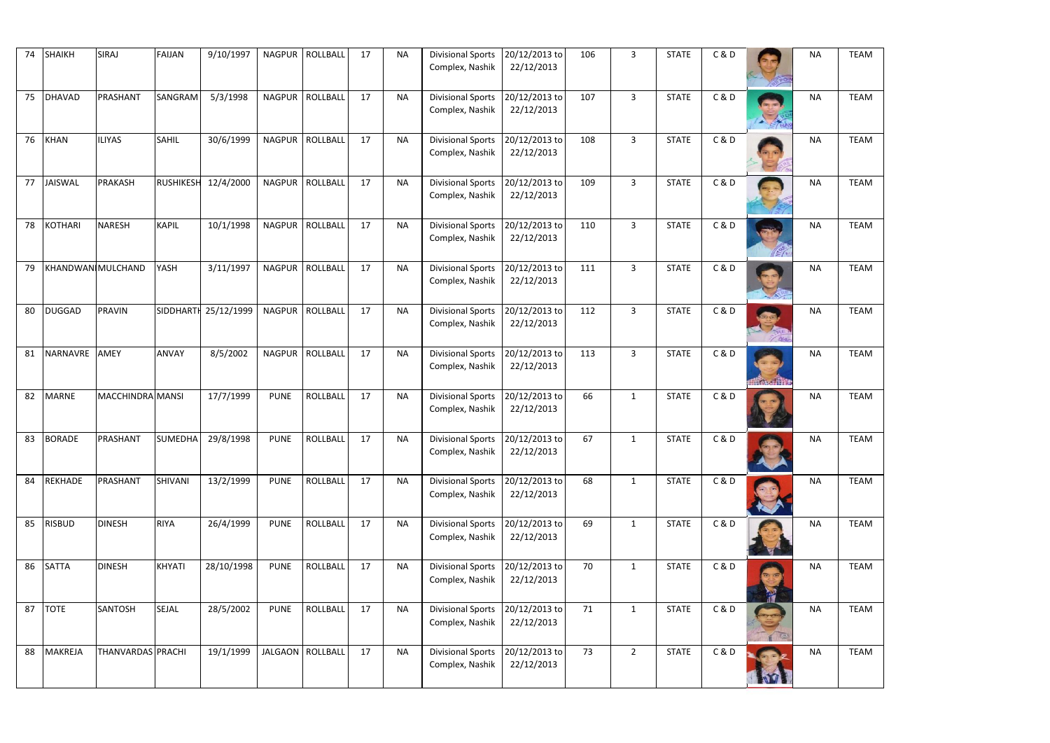| 74 | <b>SHAIKH</b>  | SIRAJ             | <b>FAIJAN</b>    | 9/10/1997  | <b>NAGPUR</b> | <b>ROLLBALL</b>    | 17 | <b>NA</b> | <b>Divisional Sports</b><br>Complex, Nashik        | 20/12/2013 to<br>22/12/2013 | 106 | $\overline{3}$ | <b>STATE</b> | C&D   |              | <b>NA</b> | <b>TEAM</b> |
|----|----------------|-------------------|------------------|------------|---------------|--------------------|----|-----------|----------------------------------------------------|-----------------------------|-----|----------------|--------------|-------|--------------|-----------|-------------|
| 75 | DHAVAD         | PRASHANT          | SANGRAM          | 5/3/1998   | <b>NAGPUR</b> | ROLLBALL           | 17 | <b>NA</b> | <b>Divisional Sports</b><br>Complex, Nashik        | 20/12/2013 to<br>22/12/2013 | 107 | $\overline{3}$ | <b>STATE</b> | C&D   | $= 10$       | <b>NA</b> | <b>TEAM</b> |
| 76 | KHAN           | <b>ILIYAS</b>     | <b>SAHIL</b>     | 30/6/1999  | <b>NAGPUR</b> | ROLLBALL           | 17 | <b>NA</b> | <b>Divisional Sports</b><br>Complex, Nashik        | 20/12/2013 to<br>22/12/2013 | 108 | $\mathbf{3}$   | <b>STATE</b> | C&D   |              | <b>NA</b> | <b>TEAM</b> |
| 77 | JAISWAL        | PRAKASH           | <b>RUSHIKESH</b> | 12/4/2000  | <b>NAGPUR</b> | ROLLBALL           | 17 | <b>NA</b> | <b>Divisional Sports</b><br>Complex, Nashik        | 20/12/2013 to<br>22/12/2013 | 109 | $\overline{3}$ | <b>STATE</b> | C&D   |              | <b>NA</b> | <b>TEAM</b> |
| 78 | KOTHARI        | <b>NARESH</b>     | <b>KAPIL</b>     | 10/1/1998  |               | NAGPUR ROLLBALL    | 17 | <b>NA</b> | <b>Divisional Sports</b><br>Complex, Nashik        | 20/12/2013 to<br>22/12/2013 | 110 | $\overline{3}$ | <b>STATE</b> | C&D   | (E)          | <b>NA</b> | <b>TEAM</b> |
| 79 |                | KHANDWAN MULCHAND | YASH             | 3/11/1997  |               | NAGPUR   ROLLBALL  | 17 | <b>NA</b> | <b>Divisional Sports</b><br>Complex, Nashik        | 20/12/2013 to<br>22/12/2013 | 111 | $\mathbf{3}$   | <b>STATE</b> | C&D   |              | <b>NA</b> | <b>TEAM</b> |
| 80 | DUGGAD         | <b>PRAVIN</b>     | <b>SIDDHARTH</b> | 25/12/1999 |               | NAGPUR   ROLLBALL  | 17 | <b>NA</b> | <b>Divisional Sports</b><br>Complex, Nashik        | 20/12/2013 to<br>22/12/2013 | 112 | $\mathbf{3}$   | <b>STATE</b> | C & D | $\angle$ Ng  | <b>NA</b> | <b>TEAM</b> |
| 81 | NARNAVRE       | <b>AMEY</b>       | ANVAY            | 8/5/2002   | <b>NAGPUR</b> | ROLLBALL           | 17 | <b>NA</b> | <b>Divisional Sports</b><br>Complex, Nashik        | 20/12/2013 to<br>22/12/2013 | 113 | $\mathbf{3}$   | <b>STATE</b> | C&D   | <b>化气力作用</b> | <b>NA</b> | <b>TEAM</b> |
| 82 | <b>MARNE</b>   | MACCHINDRA MANSI  |                  | 17/7/1999  | <b>PUNE</b>   | <b>ROLLBALL</b>    | 17 | <b>NA</b> | <b>Divisional Sports</b><br>Complex, Nashik        | 20/12/2013 to<br>22/12/2013 | 66  | $\mathbf{1}$   | <b>STATE</b> | C&D   |              | <b>NA</b> | <b>TEAM</b> |
| 83 | <b>BORADE</b>  | PRASHANT          | SUMEDHA          | 29/8/1998  | <b>PUNE</b>   | ROLLBALL           | 17 | <b>NA</b> | Divisional Sports 20/12/2013 to<br>Complex, Nashik | 22/12/2013                  | 67  |                | <b>STATE</b> | C&D   |              | <b>NA</b> | <b>TEAM</b> |
| 84 | <b>REKHADE</b> | PRASHANT          | <b>SHIVANI</b>   | 13/2/1999  | <b>PUNE</b>   | <b>ROLLBALL</b>    | 17 | <b>NA</b> | <b>Divisional Sports</b><br>Complex, Nashik        | 20/12/2013 to<br>22/12/2013 | 68  | $\mathbf{1}$   | <b>STATE</b> | C&D   |              | <b>NA</b> | <b>TEAM</b> |
| 85 | <b>RISBUD</b>  | <b>DINESH</b>     | <b>RIYA</b>      | 26/4/1999  | <b>PUNE</b>   | <b>ROLLBALL</b>    | 17 | <b>NA</b> | <b>Divisional Sports</b><br>Complex, Nashik        | 20/12/2013 to<br>22/12/2013 | 69  | $\mathbf{1}$   | <b>STATE</b> | C&D   |              | <b>NA</b> | <b>TEAM</b> |
| 86 | <b>SATTA</b>   | <b>DINESH</b>     | <b>KHYATI</b>    | 28/10/1998 | <b>PUNE</b>   | <b>ROLLBALL</b>    | 17 | <b>NA</b> | <b>Divisional Sports</b><br>Complex, Nashik        | 20/12/2013 to<br>22/12/2013 | 70  | $\mathbf{1}$   | <b>STATE</b> | C&D   |              | <b>NA</b> | <b>TEAM</b> |
| 87 | <b>TOTE</b>    | <b>SANTOSH</b>    | <b>SEJAL</b>     | 28/5/2002  | <b>PUNE</b>   | <b>ROLLBALL</b>    | 17 | <b>NA</b> | <b>Divisional Sports</b><br>Complex, Nashik        | 20/12/2013 to<br>22/12/2013 | 71  | $\mathbf{1}$   | <b>STATE</b> | C&D   |              | <b>NA</b> | <b>TEAM</b> |
| 88 | MAKREJA        | THANVARDAS PRACHI |                  | 19/1/1999  |               | JALGAON   ROLLBALL | 17 | <b>NA</b> | <b>Divisional Sports</b><br>Complex, Nashik        | 20/12/2013 to<br>22/12/2013 | 73  | $2^{\circ}$    | <b>STATE</b> | C&D   | <b>NVI</b>   | <b>NA</b> | <b>TEAM</b> |

| <b>NA</b> | <b>TEAM</b> |
|-----------|-------------|
| <b>NA</b> | <b>TEAM</b> |
| <b>NA</b> | <b>TEAM</b> |
| <b>NA</b> | <b>TEAM</b> |
| <b>NA</b> | <b>TEAM</b> |
| <b>NA</b> | <b>TEAM</b> |
| <b>NA</b> | <b>TEAM</b> |
| <b>NA</b> | <b>TEAM</b> |
| <b>NA</b> | <b>TEAM</b> |
| <b>NA</b> | <b>TEAM</b> |
| <b>NA</b> | <b>TEAM</b> |
| NΑ        | <b>TEAM</b> |
| <b>NA</b> | <b>TEAM</b> |
| <b>NA</b> | <b>TEAM</b> |
| ΝA        | <b>TEAM</b> |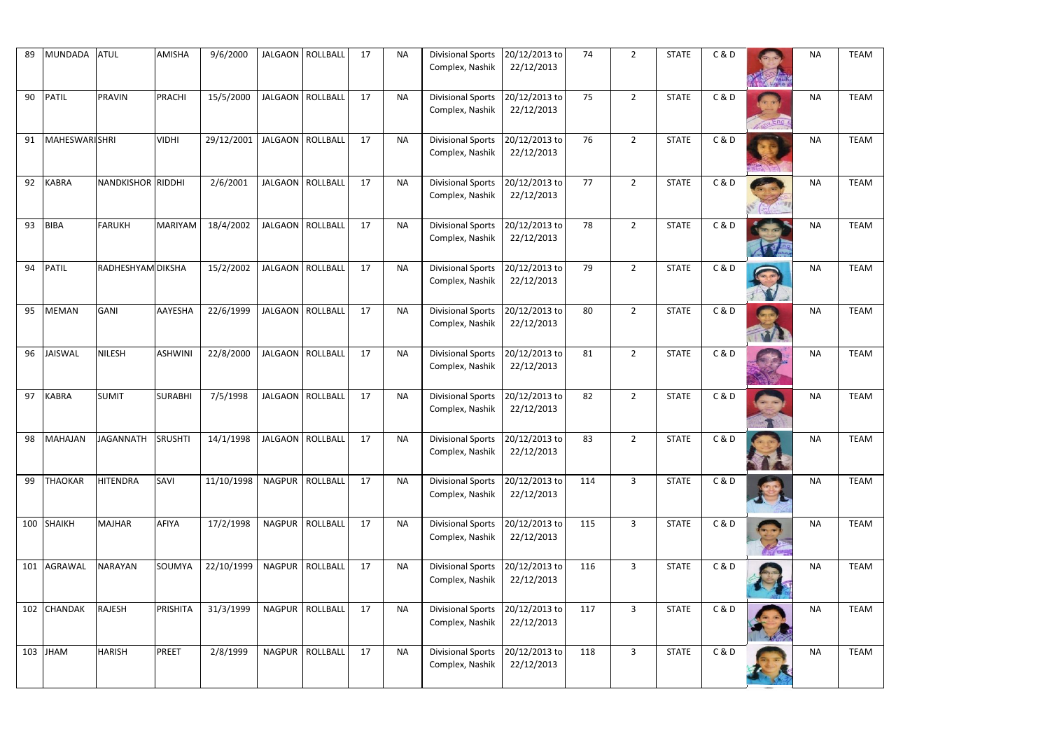| 89  | <b>MUNDADA</b>       | <b>ATUL</b>              | AMISHA         | 9/6/2000   | JALGAON   ROLLBALL | 17 | <b>NA</b> | <b>Divisional Sports</b><br>Complex, Nashik        | 20/12/2013 to<br>22/12/2013 | 74  | $\overline{2}$ | <b>STATE</b> | C&D   | <b>NA</b> | <b>TEAM</b> |
|-----|----------------------|--------------------------|----------------|------------|--------------------|----|-----------|----------------------------------------------------|-----------------------------|-----|----------------|--------------|-------|-----------|-------------|
| 90  | <b>PATIL</b>         | <b>PRAVIN</b>            | PRACHI         | 15/5/2000  | JALGAON   ROLLBALL | 17 | <b>NA</b> | <b>Divisional Sports</b><br>Complex, Nashik        | 20/12/2013 to<br>22/12/2013 | 75  | $\overline{2}$ | <b>STATE</b> | C&D   | <b>NA</b> | <b>TEAM</b> |
| 91  | <b>MAHESWARISHRI</b> |                          | <b>VIDHI</b>   | 29/12/2001 | JALGAON   ROLLBALL | 17 | <b>NA</b> | <b>Divisional Sports</b><br>Complex, Nashik        | 20/12/2013 to<br>22/12/2013 | 76  | $\overline{2}$ | <b>STATE</b> | C&D   | <b>NA</b> | <b>TEAM</b> |
| 92  | KABRA                | <b>NANDKISHOR RIDDHI</b> |                | 2/6/2001   | JALGAON   ROLLBALL | 17 | <b>NA</b> | <b>Divisional Sports</b><br>Complex, Nashik        | 20/12/2013 to<br>22/12/2013 | 77  | $\overline{2}$ | <b>STATE</b> | C&D   | <b>NA</b> | <b>TEAM</b> |
| 93  | <b>BIBA</b>          | <b>FARUKH</b>            | <b>MARIYAM</b> | 18/4/2002  | JALGAON   ROLLBALL | 17 | <b>NA</b> | <b>Divisional Sports</b><br>Complex, Nashik        | 20/12/2013 to<br>22/12/2013 | 78  | $\overline{2}$ | <b>STATE</b> | C&D   | <b>NA</b> | <b>TEAM</b> |
| 94  | <b>PATIL</b>         | <b>RADHESHYAM DIKSHA</b> |                | 15/2/2002  | JALGAON   ROLLBALL | 17 | <b>NA</b> | <b>Divisional Sports</b><br>Complex, Nashik        | 20/12/2013 to<br>22/12/2013 | 79  | $\overline{2}$ | <b>STATE</b> | C&D   | <b>NA</b> | <b>TEAM</b> |
| 95  | <b>MEMAN</b>         | <b>GANI</b>              | AAYESHA        | 22/6/1999  | JALGAON   ROLLBALL | 17 | <b>NA</b> | <b>Divisional Sports</b><br>Complex, Nashik        | 20/12/2013 to<br>22/12/2013 | 80  | $\overline{2}$ | <b>STATE</b> | C&D   | <b>NA</b> | <b>TEAM</b> |
| 96  | JAISWAL              | <b>NILESH</b>            | <b>ASHWINI</b> | 22/8/2000  | JALGAON   ROLLBALL | 17 | <b>NA</b> | <b>Divisional Sports</b><br>Complex, Nashik        | 20/12/2013 to<br>22/12/2013 | 81  | $\overline{2}$ | <b>STATE</b> | C&D   | <b>NA</b> | <b>TEAM</b> |
| 97  | <b>KABRA</b>         | <b>SUMIT</b>             | <b>SURABHI</b> | 7/5/1998   | JALGAON   ROLLBALL | 17 | <b>NA</b> | <b>Divisional Sports</b><br>Complex, Nashik        | 20/12/2013 to<br>22/12/2013 | 82  | $\overline{2}$ | <b>STATE</b> | C&D   | <b>NA</b> | <b>TEAM</b> |
| 98  | MAHAJAN              | JAGANNATH                | <b>SRUSHTI</b> | 14/1/1998  | JALGAON ROLLBALL   | 17 | <b>NA</b> | Divisional Sports 20/12/2013 to<br>Complex, Nashik | 22/12/2013                  | 83  | $\overline{2}$ | <b>STATE</b> | C&D   | <b>NA</b> | <b>TEAM</b> |
| 99  | <b>THAOKAR</b>       | <b>HITENDRA</b>          | SAVI           | 11/10/1998 | NAGPUR   ROLLBALL  | 17 | <b>NA</b> | <b>Divisional Sports</b><br>Complex, Nashik        | 20/12/2013 to<br>22/12/2013 | 114 | $\mathbf{3}$   | <b>STATE</b> | C&D   | <b>NA</b> | <b>TEAM</b> |
| 100 | <b>SHAIKH</b>        | <b>MAJHAR</b>            | <b>AFIYA</b>   | 17/2/1998  | NAGPUR   ROLLBALL  | 17 | <b>NA</b> | <b>Divisional Sports</b><br>Complex, Nashik        | 20/12/2013 to<br>22/12/2013 | 115 | $\overline{3}$ | <b>STATE</b> | C & D | <b>NA</b> | <b>TEAM</b> |
| 101 | AGRAWAL              | <b>NARAYAN</b>           | SOUMYA         | 22/10/1999 | NAGPUR   ROLLBALL  | 17 | <b>NA</b> | <b>Divisional Sports</b><br>Complex, Nashik        | 20/12/2013 to<br>22/12/2013 | 116 | $\overline{3}$ | <b>STATE</b> | C & D | <b>NA</b> | <b>TEAM</b> |
|     | 102 CHANDAK          | <b>RAJESH</b>            | PRISHITA       | 31/3/1999  | NAGPUR   ROLLBALL  | 17 | <b>NA</b> | <b>Divisional Sports</b><br>Complex, Nashik        | 20/12/2013 to<br>22/12/2013 | 117 | $\overline{3}$ | <b>STATE</b> | C&D   | <b>NA</b> | <b>TEAM</b> |
|     | 103 JHAM             | <b>HARISH</b>            | PREET          | 2/8/1999   | NAGPUR   ROLLBALL  | 17 | <b>NA</b> | <b>Divisional Sports</b><br>Complex, Nashik        | 20/12/2013 to<br>22/12/2013 | 118 | $\overline{3}$ | <b>STATE</b> | C&D   | <b>NA</b> | <b>TEAM</b> |

| <b>NA</b> | <b>TEAM</b> |
|-----------|-------------|
| <b>NA</b> | <b>TEAM</b> |
| <b>NA</b> | <b>TEAM</b> |
| <b>NA</b> | <b>TEAM</b> |
| <b>NA</b> | <b>TEAM</b> |
| <b>NA</b> | <b>TEAM</b> |
| <b>NA</b> | <b>TEAM</b> |
| <b>NA</b> | <b>TEAM</b> |
| <b>NA</b> | <b>TEAM</b> |
| <b>NA</b> | <b>TEAM</b> |
| <b>NA</b> | <b>TEAM</b> |
| NΑ        | <b>TEAM</b> |
| <b>NA</b> | <b>TEAM</b> |
| <b>NA</b> | <b>TEAM</b> |
| ΝA        | <b>TEAM</b> |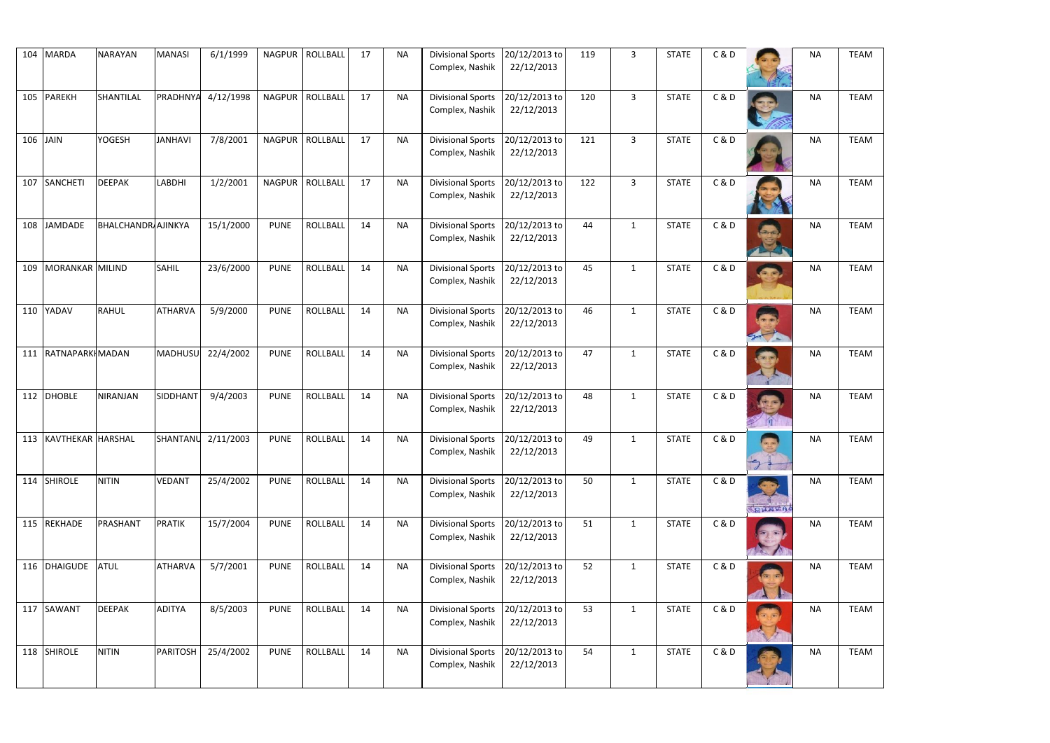|          | 104 MARDA             | <b>NARAYAN</b>            | <b>MANASI</b>   | 6/1/1999  |               | NAGPUR   ROLLBALL | 17 | <b>NA</b> | <b>Divisional Sports</b><br>Complex, Nashik | 20/12/2013 to<br>22/12/2013 | 119 | $\overline{3}$ | <b>STATE</b> | C&D   |       | <b>NA</b> | <b>TEAM</b> |
|----------|-----------------------|---------------------------|-----------------|-----------|---------------|-------------------|----|-----------|---------------------------------------------|-----------------------------|-----|----------------|--------------|-------|-------|-----------|-------------|
|          |                       |                           |                 |           |               |                   |    |           |                                             |                             |     |                |              |       |       |           |             |
|          | 105 PAREKH            | SHANTILAL                 | PRADHNYA        | 4/12/1998 |               | NAGPUR   ROLLBALL | 17 | <b>NA</b> | <b>Divisional Sports</b><br>Complex, Nashik | 20/12/2013 to<br>22/12/2013 | 120 | $\overline{3}$ | <b>STATE</b> | C&D   |       | <b>NA</b> | <b>TEAM</b> |
|          |                       |                           |                 |           |               |                   |    |           |                                             |                             |     |                |              |       |       |           |             |
| 106 JAIN |                       | <b>YOGESH</b>             | <b>JANHAVI</b>  | 7/8/2001  |               | NAGPUR   ROLLBALL | 17 | <b>NA</b> | <b>Divisional Sports</b>                    | 20/12/2013 to               | 121 | $\overline{3}$ | <b>STATE</b> | C&D   |       | <b>NA</b> | <b>TEAM</b> |
|          |                       |                           |                 |           |               |                   |    |           | Complex, Nashik                             | 22/12/2013                  |     |                |              |       |       |           |             |
| 107      | SANCHETI              | <b>DEEPAK</b>             | <b>LABDHI</b>   | 1/2/2001  | <b>NAGPUR</b> | ROLLBALL          | 17 | <b>NA</b> | <b>Divisional Sports</b>                    | 20/12/2013 to               | 122 | $\mathbf{3}$   | <b>STATE</b> | C&D   |       | <b>NA</b> | <b>TEAM</b> |
|          |                       |                           |                 |           |               |                   |    |           | Complex, Nashik                             | 22/12/2013                  |     |                |              |       |       |           |             |
| 108      | <b>JAMDADE</b>        | <b>BHALCHANDR</b> AJINKYA |                 | 15/1/2000 | <b>PUNE</b>   | <b>ROLLBALL</b>   | 14 | <b>NA</b> | <b>Divisional Sports</b>                    | 20/12/2013 to               | 44  | $\mathbf{1}$   | <b>STATE</b> | C & D |       | <b>NA</b> | <b>TEAM</b> |
|          |                       |                           |                 |           |               |                   |    |           | Complex, Nashik                             | 22/12/2013                  |     |                |              |       |       |           |             |
| 109      | MORANKAR MILIND       |                           | <b>SAHIL</b>    | 23/6/2000 | <b>PUNE</b>   | <b>ROLLBALL</b>   | 14 | <b>NA</b> | <b>Divisional Sports</b>                    | 20/12/2013 to               | 45  | $\mathbf{1}$   | <b>STATE</b> | C&D   |       | <b>NA</b> | <b>TEAM</b> |
|          |                       |                           |                 |           |               |                   |    |           | Complex, Nashik                             | 22/12/2013                  |     |                |              |       |       |           |             |
|          | 110 YADAV             | <b>RAHUL</b>              | <b>ATHARVA</b>  | 5/9/2000  | <b>PUNE</b>   | <b>ROLLBALL</b>   | 14 | <b>NA</b> | <b>Divisional Sports</b>                    | 20/12/2013 to               | 46  | $\mathbf{1}$   | <b>STATE</b> | C&D   |       | <b>NA</b> | <b>TEAM</b> |
|          |                       |                           |                 |           |               |                   |    |           | Complex, Nashik                             | 22/12/2013                  |     |                |              |       |       |           |             |
|          | 111 RATNAPARKI MADAN  |                           | <b>MADHUSU</b>  | 22/4/2002 | <b>PUNE</b>   | <b>ROLLBALL</b>   | 14 | <b>NA</b> | <b>Divisional Sports</b>                    | 20/12/2013 to               | 47  | $\mathbf{1}$   | <b>STATE</b> | C&D   |       | <b>NA</b> | <b>TEAM</b> |
|          |                       |                           |                 |           |               |                   |    |           | Complex, Nashik                             | 22/12/2013                  |     |                |              |       |       |           |             |
|          | 112 DHOBLE            | NIRANJAN                  | SIDDHANT        | 9/4/2003  | <b>PUNE</b>   | <b>ROLLBALL</b>   | 14 | <b>NA</b> | <b>Divisional Sports</b>                    | 20/12/2013 to               | 48  | $\mathbf{1}$   | <b>STATE</b> | C&D   |       | <b>NA</b> | <b>TEAM</b> |
|          |                       |                           |                 |           |               |                   |    |           | Complex, Nashik                             | 22/12/2013                  |     |                |              |       |       |           |             |
|          | 113 KAVTHEKAR HARSHAL |                           | SHANTANU        | 2/11/2003 | <b>PUNE</b>   | <b>ROLLBALL</b>   | 14 | <b>NA</b> | Divisional Sports 20/12/2013 to             |                             | 49  | $\mathbf{1}$   | <b>STATE</b> | C & D |       | <b>NA</b> | <b>TEAM</b> |
|          |                       |                           |                 |           |               |                   |    |           | Complex, Nashik                             | 22/12/2013                  |     |                |              |       |       |           |             |
|          | 114 SHIROLE           | <b>NITIN</b>              | <b>VEDANT</b>   | 25/4/2002 | <b>PUNE</b>   | <b>ROLLBALL</b>   | 14 | <b>NA</b> | <b>Divisional Sports</b>                    | 20/12/2013 to               | 50  | $\mathbf{1}$   | <b>STATE</b> | C&D   | 52    | <b>NA</b> | <b>TEAM</b> |
|          |                       |                           |                 |           |               |                   |    |           | Complex, Nashik                             | 22/12/2013                  |     |                |              |       | BHAVA |           |             |
|          | 115 REKHADE           | PRASHANT                  | <b>PRATIK</b>   | 15/7/2004 | <b>PUNE</b>   | <b>ROLLBALL</b>   | 14 | <b>NA</b> | <b>Divisional Sports</b>                    | 20/12/2013 to               | 51  | $\mathbf{1}$   | <b>STATE</b> | C&D   |       | <b>NA</b> | <b>TEAM</b> |
|          |                       |                           |                 |           |               |                   |    |           | Complex, Nashik                             | 22/12/2013                  |     |                |              |       |       |           |             |
|          | 116 DHAIGUDE          | <b>ATUL</b>               | <b>ATHARVA</b>  | 5/7/2001  | <b>PUNE</b>   | <b>ROLLBALL</b>   | 14 | <b>NA</b> | <b>Divisional Sports</b>                    | 20/12/2013 to               | 52  | $\mathbf{1}$   | <b>STATE</b> | C&D   |       | <b>NA</b> | <b>TEAM</b> |
|          |                       |                           |                 |           |               |                   |    |           | Complex, Nashik                             | 22/12/2013                  |     |                |              |       |       |           |             |
|          | 117 SAWANT            | <b>DEEPAK</b>             | <b>ADITYA</b>   | 8/5/2003  | <b>PUNE</b>   | <b>ROLLBALL</b>   | 14 | <b>NA</b> | <b>Divisional Sports</b>                    | 20/12/2013 to               | 53  | $\mathbf{1}$   | <b>STATE</b> | C&D   |       | <b>NA</b> | <b>TEAM</b> |
|          |                       |                           |                 |           |               |                   |    |           | Complex, Nashik                             | 22/12/2013                  |     |                |              |       |       |           |             |
|          |                       |                           |                 |           |               |                   |    |           |                                             |                             |     |                |              |       |       |           |             |
|          | 118 SHIROLE           | <b>NITIN</b>              | <b>PARITOSH</b> | 25/4/2002 | <b>PUNE</b>   | <b>ROLLBALL</b>   | 14 | <b>NA</b> | <b>Divisional Sports</b><br>Complex, Nashik | 20/12/2013 to<br>22/12/2013 | 54  | $\mathbf{1}$   | <b>STATE</b> | C&D   |       | <b>NA</b> | <b>TEAM</b> |

| <b>NA</b> | <b>TEAM</b> |
|-----------|-------------|
| <b>NA</b> | <b>TEAM</b> |
| <b>NA</b> | <b>TEAM</b> |
| <b>NA</b> | <b>TEAM</b> |
| <b>NA</b> | <b>TEAM</b> |
| <b>NA</b> | <b>TEAM</b> |
| <b>NA</b> | <b>TEAM</b> |
| <b>NA</b> | <b>TEAM</b> |
| <b>NA</b> | <b>TEAM</b> |
| <b>NA</b> | <b>TEAM</b> |
| <b>NA</b> | <b>TEAM</b> |
| NΑ        | <b>TEAM</b> |
| <b>NA</b> | <b>TEAM</b> |
| <b>NA</b> | <b>TEAM</b> |
| ΝA        | <b>TEAM</b> |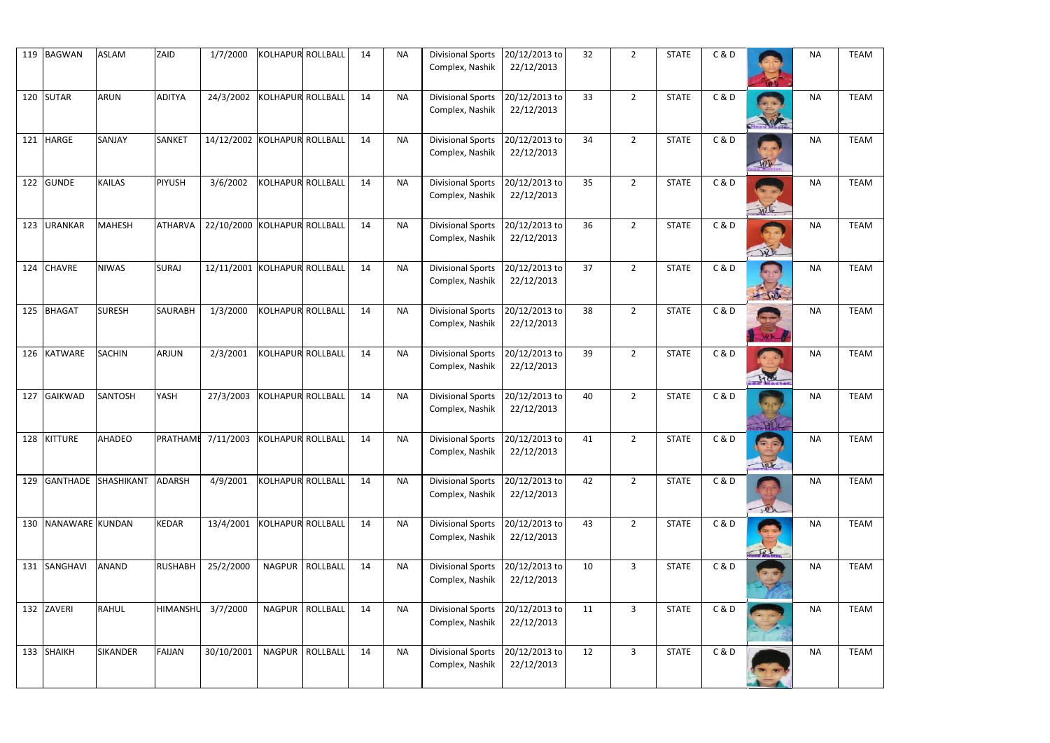|     | 119 BAGWAN      | <b>ASLAM</b>        | ZAID            | 1/7/2000                             | KOLHAPUR ROLLBALL |                   | 14 | <b>NA</b> | <b>Divisional Sports</b><br>Complex, Nashik        | 20/12/2013 to<br>22/12/2013 | 32 | $\overline{2}$ | <b>STATE</b> | C&D   |                   | <b>NA</b> | <b>TEAM</b> |
|-----|-----------------|---------------------|-----------------|--------------------------------------|-------------------|-------------------|----|-----------|----------------------------------------------------|-----------------------------|----|----------------|--------------|-------|-------------------|-----------|-------------|
|     |                 |                     |                 |                                      |                   |                   |    |           |                                                    |                             |    |                |              |       |                   |           |             |
|     | 120 SUTAR       | <b>ARUN</b>         | <b>ADITYA</b>   | 24/3/2002                            | KOLHAPUR ROLLBALL |                   | 14 | <b>NA</b> | <b>Divisional Sports</b><br>Complex, Nashik        | 20/12/2013 to<br>22/12/2013 | 33 | $\overline{2}$ | <b>STATE</b> | C & D |                   | <b>NA</b> | <b>TEAM</b> |
| 121 | <b>HARGE</b>    | SANJAY              | <b>SANKET</b>   | 14/12/2002 KOLHAPUR ROLLBALL         |                   |                   | 14 | <b>NA</b> | <b>Divisional Sports</b><br>Complex, Nashik        | 20/12/2013 to<br>22/12/2013 | 34 | $\overline{2}$ | <b>STATE</b> | C&D   | ADL               | <b>NA</b> | <b>TEAM</b> |
| 122 | <b>GUNDE</b>    | <b>KAILAS</b>       | PIYUSH          | 3/6/2002                             | KOLHAPUR ROLLBALL |                   | 14 | <b>NA</b> | <b>Divisional Sports</b><br>Complex, Nashik        | 20/12/2013 to<br>22/12/2013 | 35 | $\overline{2}$ | <b>STATE</b> | C&D   | Hille             | <b>NA</b> | <b>TEAM</b> |
| 123 | <b>URANKAR</b>  | <b>MAHESH</b>       | <b>ATHARVA</b>  | 22/10/2000 KOLHAPUR ROLLBALL         |                   |                   | 14 | <b>NA</b> | <b>Divisional Sports</b><br>Complex, Nashik        | 20/12/2013 to<br>22/12/2013 | 36 | $\overline{2}$ | <b>STATE</b> | C&D   | 40                | <b>NA</b> | <b>TEAM</b> |
| 124 | <b>CHAVRE</b>   | <b>NIWAS</b>        | <b>SURAJ</b>    | 12/11/2001 KOLHAPUR ROLLBALL         |                   |                   | 14 | <b>NA</b> | <b>Divisional Sports</b><br>Complex, Nashik        | 20/12/2013 to<br>22/12/2013 | 37 | $\overline{2}$ | <b>STATE</b> | C&D   | The               | <b>NA</b> | <b>TEAM</b> |
| 125 | <b>BHAGAT</b>   | <b>SURESH</b>       | <b>SAURABH</b>  | 1/3/2000                             | KOLHAPUR ROLLBALL |                   | 14 | <b>NA</b> | <b>Divisional Sports</b><br>Complex, Nashik        | 20/12/2013 to<br>22/12/2013 | 38 | $\overline{2}$ | <b>STATE</b> | C&D   |                   | <b>NA</b> | <b>TEAM</b> |
|     | 126 KATWARE     | <b>SACHIN</b>       | <b>ARJUN</b>    | 2/3/2001                             | KOLHAPUR ROLLBALL |                   | 14 | <b>NA</b> | <b>Divisional Sports</b><br>Complex, Nashik        | 20/12/2013 to<br>22/12/2013 | 39 | $\overline{2}$ | <b>STATE</b> | C&D   | <b>BRANDWEIGH</b> | <b>NA</b> | <b>TEAM</b> |
| 127 | <b>GAIKWAD</b>  | <b>SANTOSH</b>      | YASH            | 27/3/2003                            | KOLHAPUR ROLLBALL |                   | 14 | <b>NA</b> | <b>Divisional Sports</b><br>Complex, Nashik        | 20/12/2013 to<br>22/12/2013 | 40 | $\overline{2}$ | <b>STATE</b> | C&D   |                   | <b>NA</b> | <b>TEAM</b> |
|     | 128 KITTURE     | <b>AHADEO</b>       |                 | PRATHAMI 7/11/2003 KOLHAPUR ROLLBALL |                   |                   | 14 | <b>NA</b> | Divisional Sports 20/12/2013 to<br>Complex, Nashik | 22/12/2013                  | 41 | $\overline{2}$ | <b>STATE</b> | C&D   | tpk               | <b>NA</b> | <b>TEAM</b> |
| 129 |                 | GANTHADE SHASHIKANT | ADARSH          | 4/9/2001                             | KOLHAPUR ROLLBALL |                   | 14 | <b>NA</b> | <b>Divisional Sports</b><br>Complex, Nashik        | 20/12/2013 to<br>22/12/2013 | 42 | $\overline{2}$ | <b>STATE</b> | C&D   | (1)               | <b>NA</b> | <b>TEAM</b> |
| 130 | NANAWARE KUNDAN |                     | <b>KEDAR</b>    | 13/4/2001                            | KOLHAPUR ROLLBALL |                   | 14 | <b>NA</b> | <b>Divisional Sports</b><br>Complex, Nashik        | 20/12/2013 to<br>22/12/2013 | 43 | $\overline{2}$ | <b>STATE</b> | C&D   | Tonad Master      | <b>NA</b> | <b>TEAM</b> |
|     | 131 SANGHAVI    | <b>ANAND</b>        | <b>RUSHABH</b>  | 25/2/2000                            |                   | NAGPUR   ROLLBALL | 14 | <b>NA</b> | <b>Divisional Sports</b><br>Complex, Nashik        | 20/12/2013 to<br>22/12/2013 | 10 | $\overline{3}$ | <b>STATE</b> | C&D   |                   | <b>NA</b> | <b>TEAM</b> |
|     | 132 ZAVERI      | <b>RAHUL</b>        | <b>HIMANSHU</b> | 3/7/2000                             |                   | NAGPUR   ROLLBALL | 14 | <b>NA</b> | <b>Divisional Sports</b><br>Complex, Nashik        | 20/12/2013 to<br>22/12/2013 | 11 | $\overline{3}$ | <b>STATE</b> | C&D   |                   | <b>NA</b> | <b>TEAM</b> |
|     | 133 SHAIKH      | <b>SIKANDER</b>     | <b>FAIJAN</b>   | 30/10/2001                           |                   | NAGPUR   ROLLBALL | 14 | <b>NA</b> | <b>Divisional Sports</b><br>Complex, Nashik        | 20/12/2013 to<br>22/12/2013 | 12 | $\overline{3}$ | <b>STATE</b> | C&D   |                   | <b>NA</b> | <b>TEAM</b> |

| <b>NA</b> | <b>TEAM</b> |
|-----------|-------------|
| <b>NA</b> | <b>TEAM</b> |
| <b>NA</b> | <b>TEAM</b> |
| <b>NA</b> | <b>TEAM</b> |
| <b>NA</b> | <b>TEAM</b> |
| <b>NA</b> | <b>TEAM</b> |
| <b>NA</b> | <b>TEAM</b> |
| <b>NA</b> | <b>TEAM</b> |
| <b>NA</b> | <b>TEAM</b> |
| <b>NA</b> | <b>TEAM</b> |
| <b>NA</b> | <b>TEAM</b> |
| NΑ        | <b>TEAM</b> |
| <b>NA</b> | <b>TEAM</b> |
| <b>NA</b> | <b>TEAM</b> |
| ΝA        | <b>TEAM</b> |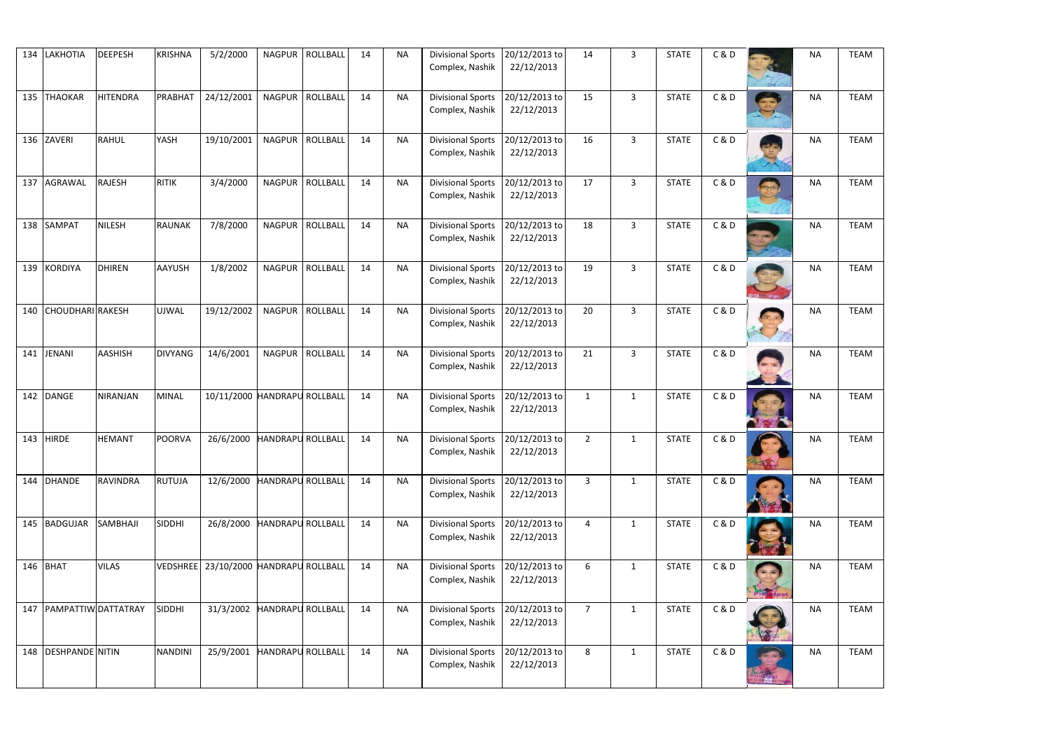| 134 | LAKHOTIA                | <b>DEEPESH</b>  | <b>KRISHNA</b>  | 5/2/2000                     |                          | NAGPUR   ROLLBALL | 14 | <b>NA</b> | <b>Divisional Sports</b><br>Complex, Nashik        | 20/12/2013 to<br>22/12/2013 | 14             | $\overline{3}$ | <b>STATE</b> | C&D   |                 | <b>NA</b> | <b>TEAM</b> |
|-----|-------------------------|-----------------|-----------------|------------------------------|--------------------------|-------------------|----|-----------|----------------------------------------------------|-----------------------------|----------------|----------------|--------------|-------|-----------------|-----------|-------------|
|     | 135 THAOKAR             | <b>HITENDRA</b> | PRABHAT         | 24/12/2001                   |                          | NAGPUR ROLLBALL   | 14 | <b>NA</b> | <b>Divisional Sports</b><br>Complex, Nashik        | 20/12/2013 to<br>22/12/2013 | 15             | $\overline{3}$ | <b>STATE</b> | C&D   |                 | <b>NA</b> | <b>TEAM</b> |
| 136 | ZAVERI                  | <b>RAHUL</b>    | YASH            | 19/10/2001                   |                          | NAGPUR ROLLBALL   | 14 | <b>NA</b> | <b>Divisional Sports</b><br>Complex, Nashik        | 20/12/2013 to<br>22/12/2013 | 16             | $\overline{3}$ | <b>STATE</b> | C&D   |                 | <b>NA</b> | <b>TEAM</b> |
| 137 | AGRAWAL                 | <b>RAJESH</b>   | <b>RITIK</b>    | 3/4/2000                     |                          | NAGPUR ROLLBALL   | 14 | <b>NA</b> | <b>Divisional Sports</b><br>Complex, Nashik        | 20/12/2013 to<br>22/12/2013 | 17             | $\overline{3}$ | <b>STATE</b> | C&D   |                 | <b>NA</b> | <b>TEAM</b> |
|     | 138 SAMPAT              | <b>NILESH</b>   | <b>RAUNAK</b>   | 7/8/2000                     |                          | NAGPUR ROLLBALL   | 14 | <b>NA</b> | <b>Divisional Sports</b><br>Complex, Nashik        | 20/12/2013 to<br>22/12/2013 | 18             | $\overline{3}$ | <b>STATE</b> | C&D   |                 | <b>NA</b> | <b>TEAM</b> |
| 139 | <b>KORDIYA</b>          | <b>DHIREN</b>   | AAYUSH          | 1/8/2002                     |                          | NAGPUR   ROLLBALL | 14 | <b>NA</b> | <b>Divisional Sports</b><br>Complex, Nashik        | 20/12/2013 to<br>22/12/2013 | 19             | $\overline{3}$ | <b>STATE</b> | C&D   | <b>CAN UTAN</b> | <b>NA</b> | <b>TEAM</b> |
| 140 | <b>CHOUDHARI</b> RAKESH |                 | <b>UJWAL</b>    | 19/12/2002                   |                          | NAGPUR ROLLBALL   | 14 | <b>NA</b> | <b>Divisional Sports</b><br>Complex, Nashik        | 20/12/2013 to<br>22/12/2013 | 20             | $\overline{3}$ | <b>STATE</b> | C&D   |                 | <b>NA</b> | <b>TEAM</b> |
|     | 141 JENANI              | <b>AASHISH</b>  | <b>DIVYANG</b>  | 14/6/2001                    |                          | NAGPUR ROLLBALL   | 14 | <b>NA</b> | <b>Divisional Sports</b><br>Complex, Nashik        | 20/12/2013 to<br>22/12/2013 | 21             | $\overline{3}$ | <b>STATE</b> | C&D   | <b>PER 1999</b> | <b>NA</b> | <b>TEAM</b> |
|     | 142 DANGE               | <b>NIRANJAN</b> | <b>MINAL</b>    | 10/11/2000 HANDRAPU ROLLBALL |                          |                   | 14 | <b>NA</b> | <b>Divisional Sports</b><br>Complex, Nashik        | 20/12/2013 to<br>22/12/2013 | 1              | $\mathbf{1}$   | <b>STATE</b> | C&D   |                 | <b>NA</b> | <b>TEAM</b> |
|     | 143 HIRDE               | <b>HEMANT</b>   | <b>POORVA</b>   | 26/6/2000 HANDRAPU ROLLBALL  |                          |                   | 14 | <b>NA</b> | Divisional Sports 20/12/2013 to<br>Complex, Nashik | 22/12/2013                  | $\overline{2}$ |                | <b>STATE</b> | C & D |                 | <b>NA</b> | <b>TEAM</b> |
| 144 | <b>DHANDE</b>           | <b>RAVINDRA</b> | <b>RUTUJA</b>   | 12/6/2000                    | <b>HANDRAPU ROLLBALL</b> |                   | 14 | <b>NA</b> | <b>Divisional Sports</b><br>Complex, Nashik        | 20/12/2013 to<br>22/12/2013 | $\overline{3}$ | $\mathbf{1}$   | <b>STATE</b> | C&D   |                 | <b>NA</b> | <b>TEAM</b> |
|     | 145 BADGUJAR            | SAMBHAJI        | <b>SIDDHI</b>   | 26/8/2000                    | <b>HANDRAPU ROLLBALL</b> |                   | 14 | <b>NA</b> | <b>Divisional Sports</b><br>Complex, Nashik        | 20/12/2013 to<br>22/12/2013 | $\overline{4}$ | $\mathbf{1}$   | <b>STATE</b> | C&D   |                 | <b>NA</b> | <b>TEAM</b> |
|     | 146 BHAT                | <b>VILAS</b>    | <b>VEDSHREE</b> | 23/10/2000 HANDRAPU ROLLBALL |                          |                   | 14 | <b>NA</b> | <b>Divisional Sports</b><br>Complex, Nashik        | 20/12/2013 to<br>22/12/2013 | 6              | $\mathbf{1}$   | <b>STATE</b> | C&D   |                 | <b>NA</b> | <b>TEAM</b> |
|     | 147 PAMPATTIW DATTATRAY |                 | <b>SIDDHI</b>   | 31/3/2002                    | <b>HANDRAPU ROLLBALL</b> |                   | 14 | <b>NA</b> | <b>Divisional Sports</b><br>Complex, Nashik        | 20/12/2013 to<br>22/12/2013 | $\overline{7}$ | $\mathbf{1}$   | <b>STATE</b> | C&D   |                 | <b>NA</b> | <b>TEAM</b> |
|     | 148   DESHPANDE NITIN   |                 | <b>NANDINI</b>  | 25/9/2001                    | <b>HANDRAPU ROLLBALL</b> |                   | 14 | <b>NA</b> | <b>Divisional Sports</b><br>Complex, Nashik        | 20/12/2013 to<br>22/12/2013 | 8              | $\mathbf{1}$   | <b>STATE</b> | C&D   |                 | <b>NA</b> | <b>TEAM</b> |

| <b>NA</b> | <b>TEAM</b> |
|-----------|-------------|
| <b>NA</b> | <b>TEAM</b> |
| <b>NA</b> | <b>TEAM</b> |
| <b>NA</b> | <b>TEAM</b> |
| <b>NA</b> | <b>TEAM</b> |
| <b>NA</b> | <b>TEAM</b> |
| <b>NA</b> | <b>TEAM</b> |
| <b>NA</b> | <b>TEAM</b> |
| <b>NA</b> | <b>TEAM</b> |
| <b>NA</b> | <b>TEAM</b> |
| <b>NA</b> | <b>TEAM</b> |
| NΑ        | <b>TEAM</b> |
| <b>NA</b> | <b>TEAM</b> |
| <b>NA</b> | <b>TEAM</b> |
| ΝA        | <b>TEAM</b> |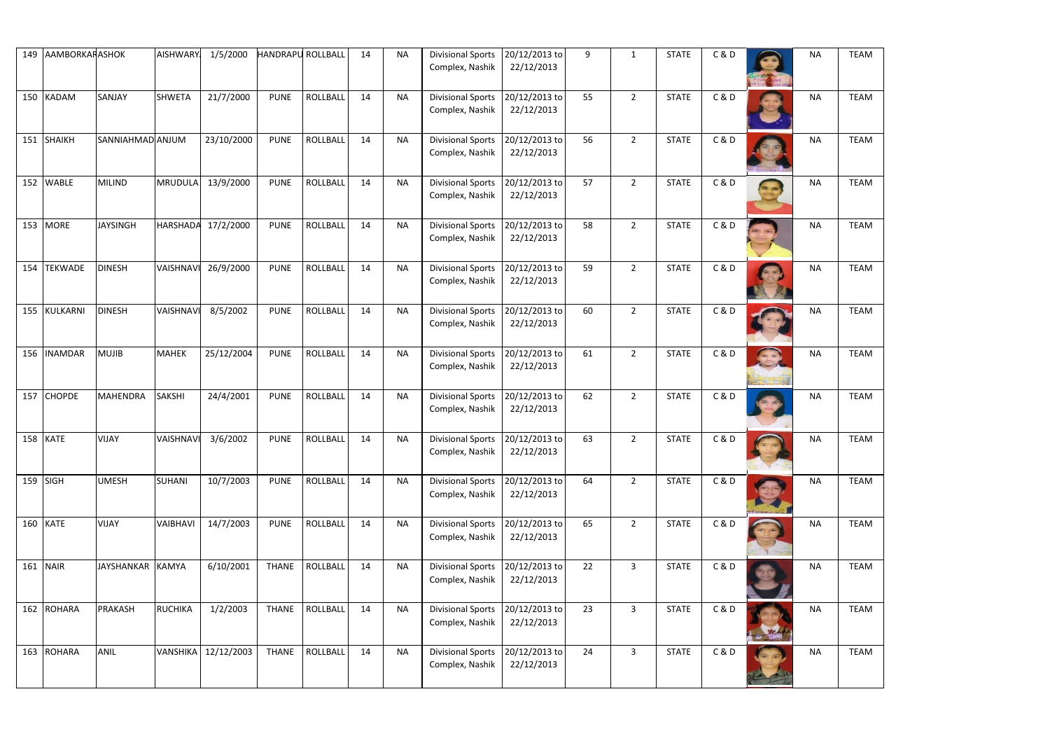| 149 | AAMBORKARASHOK |                  | <b>AISHWARY</b> | 1/5/2000            | <b>HANDRAPU ROLLBALL</b> |                 | 14 | <b>NA</b> | <b>Divisional Sports</b>                           | 20/12/2013 to               | q  | 1              | <b>STATE</b> | C&D   | <b>NA</b> | <b>TEAM</b> |
|-----|----------------|------------------|-----------------|---------------------|--------------------------|-----------------|----|-----------|----------------------------------------------------|-----------------------------|----|----------------|--------------|-------|-----------|-------------|
|     |                |                  |                 |                     |                          |                 |    |           | Complex, Nashik                                    | 22/12/2013                  |    |                |              |       |           |             |
|     | 150 KADAM      | SANJAY           | <b>SHWETA</b>   | 21/7/2000           | <b>PUNE</b>              | ROLLBALL        | 14 | <b>NA</b> | <b>Divisional Sports</b><br>Complex, Nashik        | 20/12/2013 to<br>22/12/2013 | 55 | $\overline{2}$ | <b>STATE</b> | C&D   | <b>NA</b> | <b>TEAM</b> |
|     | 151 SHAIKH     | SANNIAHMAD ANJUM |                 | 23/10/2000          | <b>PUNE</b>              | <b>ROLLBALL</b> | 14 | <b>NA</b> | <b>Divisional Sports</b><br>Complex, Nashik        | 20/12/2013 to<br>22/12/2013 | 56 | $\overline{2}$ | <b>STATE</b> | C&D   | <b>NA</b> | <b>TEAM</b> |
|     | 152 WABLE      | <b>MILIND</b>    | <b>MRUDULA</b>  | 13/9/2000           | <b>PUNE</b>              | <b>ROLLBALL</b> | 14 | <b>NA</b> | <b>Divisional Sports</b><br>Complex, Nashik        | 20/12/2013 to<br>22/12/2013 | 57 | $\overline{2}$ | <b>STATE</b> | C&D   | <b>NA</b> | <b>TEAM</b> |
|     | 153 MORE       | <b>JAYSINGH</b>  | <b>HARSHADA</b> | 17/2/2000           | <b>PUNE</b>              | <b>ROLLBALL</b> | 14 | <b>NA</b> | <b>Divisional Sports</b><br>Complex, Nashik        | 20/12/2013 to<br>22/12/2013 | 58 | $\overline{2}$ | <b>STATE</b> | C & D | <b>NA</b> | <b>TEAM</b> |
| 154 | <b>TEKWADE</b> | <b>DINESH</b>    | VAISHNAVI       | 26/9/2000           | <b>PUNE</b>              | <b>ROLLBALL</b> | 14 | <b>NA</b> | <b>Divisional Sports</b><br>Complex, Nashik        | 20/12/2013 to<br>22/12/2013 | 59 | $\overline{2}$ | <b>STATE</b> | C&D   | <b>NA</b> | <b>TEAM</b> |
| 155 | KULKARNI       | <b>DINESH</b>    | VAISHNAVI       | 8/5/2002            | <b>PUNE</b>              | <b>ROLLBALL</b> | 14 | <b>NA</b> | <b>Divisional Sports</b><br>Complex, Nashik        | 20/12/2013 to<br>22/12/2013 | 60 | $\overline{2}$ | <b>STATE</b> | C&D   | <b>NA</b> | <b>TEAM</b> |
| 156 | <b>INAMDAR</b> | <b>MUJIB</b>     | <b>MAHEK</b>    | 25/12/2004          | <b>PUNE</b>              | <b>ROLLBALL</b> | 14 | <b>NA</b> | <b>Divisional Sports</b><br>Complex, Nashik        | 20/12/2013 to<br>22/12/2013 | 61 | $\overline{2}$ | <b>STATE</b> | C&D   | <b>NA</b> | <b>TEAM</b> |
| 157 | <b>CHOPDE</b>  | <b>MAHENDRA</b>  | <b>SAKSHI</b>   | 24/4/2001           | <b>PUNE</b>              | <b>ROLLBALL</b> | 14 | <b>NA</b> | <b>Divisional Sports</b><br>Complex, Nashik        | 20/12/2013 to<br>22/12/2013 | 62 | $\overline{2}$ | <b>STATE</b> | C&D   | <b>NA</b> | <b>TEAM</b> |
|     | 158 KATE       | VIJAY            | VAISHNAVI       | 3/6/2002            | <b>PUNE</b>              | ROLLBALL        | 14 | <b>NA</b> | Divisional Sports 20/12/2013 to<br>Complex, Nashik | 22/12/2013                  | 63 | $\overline{2}$ | <b>STATE</b> | C&D   | <b>NA</b> | <b>TEAM</b> |
|     | $159$ SIGH     | <b>UMESH</b>     | <b>SUHANI</b>   | 10/7/2003           | <b>PUNE</b>              | <b>ROLLBALL</b> | 14 | <b>NA</b> | <b>Divisional Sports</b><br>Complex, Nashik        | 20/12/2013 to<br>22/12/2013 | 64 | $2^{\circ}$    | <b>STATE</b> | C&D   | <b>NA</b> | <b>TEAM</b> |
|     | 160 KATE       | <b>VIJAY</b>     | VAIBHAVI        | 14/7/2003           | <b>PUNE</b>              | <b>ROLLBALL</b> | 14 | <b>NA</b> | <b>Divisional Sports</b><br>Complex, Nashik        | 20/12/2013 to<br>22/12/2013 | 65 | $2^{\circ}$    | <b>STATE</b> | C & D | <b>NA</b> | <b>TEAM</b> |
| 161 | <b>NAIR</b>    | JAYSHANKAR KAMYA |                 | 6/10/2001           | <b>THANE</b>             | <b>ROLLBALL</b> | 14 | <b>NA</b> | <b>Divisional Sports</b><br>Complex, Nashik        | 20/12/2013 to<br>22/12/2013 | 22 | $\overline{3}$ | <b>STATE</b> | C&D   | <b>NA</b> | <b>TEAM</b> |
| 162 | <b>ROHARA</b>  | <b>PRAKASH</b>   | <b>RUCHIKA</b>  | 1/2/2003            | <b>THANE</b>             | ROLLBALL        | 14 | <b>NA</b> | <b>Divisional Sports</b><br>Complex, Nashik        | 20/12/2013 to<br>22/12/2013 | 23 | $\overline{3}$ | <b>STATE</b> | C&D   | <b>NA</b> | <b>TEAM</b> |
| 163 | ROHARA         | <b>ANIL</b>      |                 | VANSHIKA 12/12/2003 | <b>THANE</b>             | <b>ROLLBALL</b> | 14 | <b>NA</b> | <b>Divisional Sports</b><br>Complex, Nashik        | 20/12/2013 to<br>22/12/2013 | 24 | $\mathbf{3}$   | <b>STATE</b> | C&D   | <b>NA</b> | <b>TEAM</b> |

| <b>NA</b> | <b>TEAM</b> |
|-----------|-------------|
| <b>NA</b> | <b>TEAM</b> |
| <b>NA</b> | <b>TEAM</b> |
| <b>NA</b> | <b>TEAM</b> |
| <b>NA</b> | <b>TEAM</b> |
| <b>NA</b> | <b>TEAM</b> |
| <b>NA</b> | <b>TEAM</b> |
| <b>NA</b> | <b>TEAM</b> |
| <b>NA</b> | <b>TEAM</b> |
| <b>NA</b> | <b>TEAM</b> |
| <b>NA</b> | <b>TEAM</b> |
| NΑ        | <b>TEAM</b> |
| <b>NA</b> | <b>TEAM</b> |
| <b>NA</b> | <b>TEAM</b> |
| ΝA        | <b>TEAM</b> |